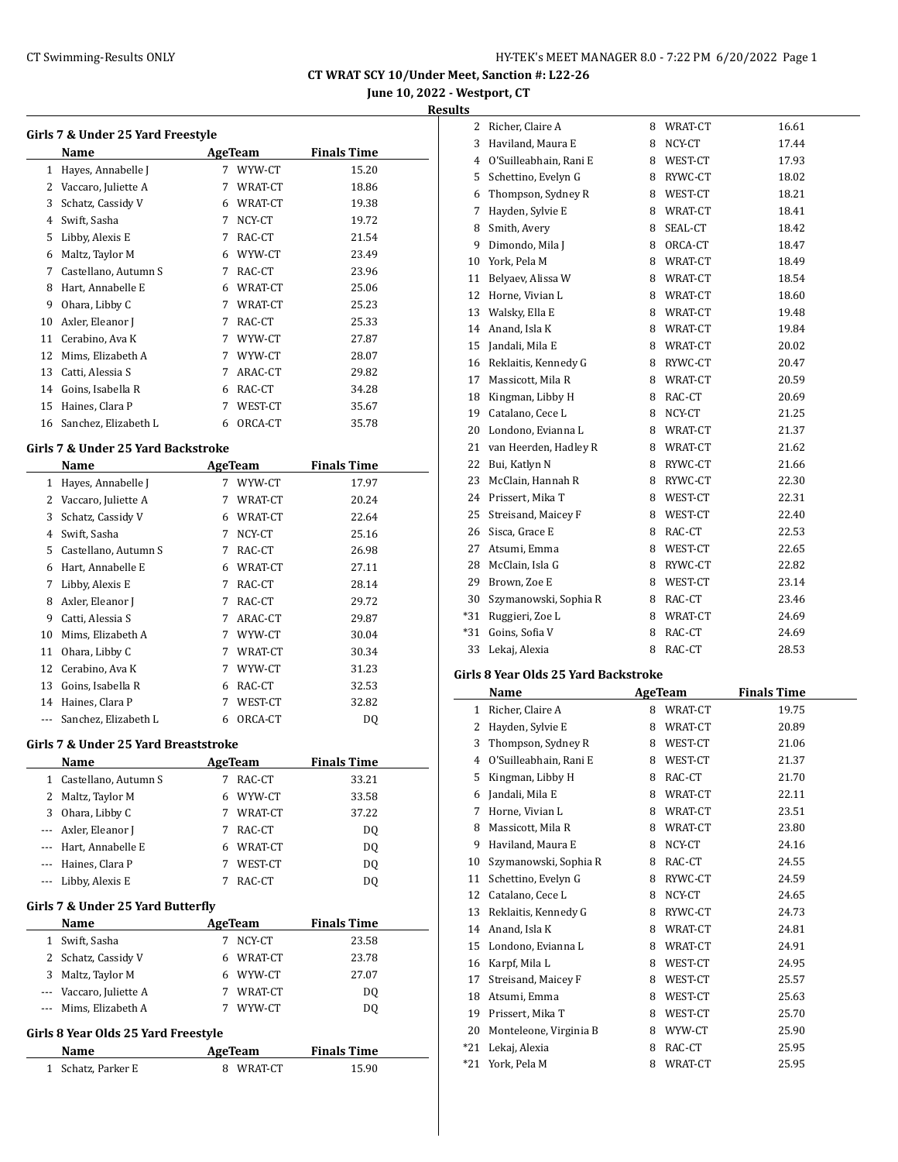**June 10, 2022 - Westport, CT**

**Results**

|              | Girls 7 & Under 25 Yard Freestyle  |   |                |                    |
|--------------|------------------------------------|---|----------------|--------------------|
|              | Name                               |   | <b>AgeTeam</b> | <b>Finals Time</b> |
| $\mathbf{1}$ | Hayes, Annabelle J                 | 7 | WYW-CT         | 15.20              |
| 2            | Vaccaro, Juliette A                | 7 | WRAT-CT        | 18.86              |
| 3            | Schatz, Cassidy V                  | 6 | WRAT-CT        | 19.38              |
| 4            | Swift, Sasha                       | 7 | NCY-CT         | 19.72              |
| 5            | Libby, Alexis E                    | 7 | RAC-CT         | 21.54              |
| 6            | Maltz, Taylor M                    | 6 | WYW-CT         | 23.49              |
| 7            | Castellano, Autumn S               | 7 | RAC-CT         | 23.96              |
| 8            | Hart, Annabelle E                  | 6 | WRAT-CT        | 25.06              |
| 9            | Ohara, Libby C                     | 7 | WRAT-CT        | 25.23              |
| 10           | Axler, Eleanor J                   | 7 | RAC-CT         | 25.33              |
| 11           | Cerabino, Ava K                    | 7 | WYW-CT         | 27.87              |
| 12           | Mims, Elizabeth A                  | 7 | WYW-CT         | 28.07              |
| 13           | Catti, Alessia S                   | 7 | ARAC-CT        | 29.82              |
| 14           | Goins, Isabella R                  | 6 | RAC-CT         | 34.28              |
| 15           | Haines, Clara P                    | 7 | WEST-CT        | 35.67              |
| 16           | Sanchez, Elizabeth L               | 6 | ORCA-CT        | 35.78              |
|              | Girls 7 & Under 25 Yard Backstroke |   |                |                    |
|              | Name                               |   | AgeTeam        | <b>Finals Time</b> |
| $\mathbf{1}$ | Hayes, Annabelle J                 | 7 | WYW-CT         | 17.97              |
| 2            | Vaccaro, Juliette A                | 7 | WRAT-CT        | 20.24              |
| 3            | Schatz, Cassidy V                  | 6 | WRAT-CT        | 22.64              |
| 4            | Swift, Sasha                       | 7 | NCY-CT         | 25.16              |
| 5            | Castellano, Autumn S               | 7 | RAC-CT         | 26.98              |
| 6            | Hart, Annabelle E                  | 6 | WRAT-CT        | 27.11              |
| 7            | Libby, Alexis E                    | 7 | RAC-CT         | 28.14              |
| 8            | Axler, Eleanor J                   | 7 | RAC-CT         | 29.72              |
| 9            | Catti, Alessia S                   | 7 | ARAC-CT        | 29.87              |
|              | 10 Mime Flizaboth A                |   | 7 MANAL CT     | 20 O.A.            |

#### **Girls 7 & Under 25 Yard Backstroke**

|          | Name                 |   | <b>AgeTeam</b> | <b>Finals Time</b> |
|----------|----------------------|---|----------------|--------------------|
| 1        | Hayes, Annabelle J   |   | 7 WYW-CT       | 17.97              |
| 2        | Vaccaro, Juliette A  | 7 | WRAT-CT        | 20.24              |
| 3        | Schatz, Cassidy V    | 6 | WRAT-CT        | 22.64              |
| 4        | Swift, Sasha         | 7 | NCY-CT         | 25.16              |
| 5.       | Castellano, Autumn S | 7 | RAC-CT         | 26.98              |
| 6        | Hart, Annabelle E    | 6 | WRAT-CT        | 27.11              |
| 7        | Libby, Alexis E      | 7 | RAC-CT         | 28.14              |
| 8        | Axler, Eleanor J     | 7 | RAC-CT         | 29.72              |
| 9        | Catti, Alessia S     | 7 | ARAC-CT        | 29.87              |
| 10       | Mims, Elizabeth A    | 7 | WYW-CT         | 30.04              |
| 11       | Ohara, Libby C       | 7 | WRAT-CT        | 30.34              |
| 12       | Cerabino, Ava K      | 7 | WYW-CT         | 31.23              |
| 13       | Goins, Isabella R    | 6 | RAC-CT         | 32.53              |
| 14       | Haines, Clara P      | 7 | WEST-CT        | 32.82              |
| $\cdots$ | Sanchez, Elizabeth L | 6 | ORCA-CT        | DQ                 |

#### **Girls 7 & Under 25 Yard Breaststroke**

| <b>Name</b>            |   | AgeTeam | <b>Finals Time</b> |  |
|------------------------|---|---------|--------------------|--|
| 1 Castellano, Autumn S |   | RAC-CT  | 33.21              |  |
| 2 Maltz, Taylor M      | 6 | WYW-CT  | 33.58              |  |
| 3 Ohara, Libby C       |   | WRAT-CT | 37.22              |  |
| --- Axler, Eleanor J   |   | RAC-CT  | D <sub>0</sub>     |  |
| --- Hart, Annabelle E  |   | WRAT-CT | DO.                |  |
| --- Haines, Clara P    |   | WEST-CT | DO.                |  |
| --- Libby, Alexis E    |   | RAC-CT  |                    |  |

### **Girls 7 & Under 25 Yard Butterfly**

| Name                    |   | AgeTeam | <b>Finals Time</b> |
|-------------------------|---|---------|--------------------|
| 1 Swift, Sasha          |   | NCY-CT  | 23.58              |
| 2 Schatz, Cassidy V     | 6 | WRAT-CT | 23.78              |
| 3 Maltz, Taylor M       | 6 | WYW-CT  | 27.07              |
| --- Vaccaro, Juliette A |   | WRAT-CT | DO                 |
| --- Mims, Elizabeth A   |   | WYW-CT  |                    |

# **Girls 8 Year Olds 25 Yard Freestyle**

| AgeTeam<br>Name    |           | <b>Finals Time</b> |
|--------------------|-----------|--------------------|
| 1 Schatz, Parker E | 8 WRAT-CT | 15.90              |

| $\overline{2}$ | Richer, Claire A       | 8 | WRAT-CT | 16.61 |
|----------------|------------------------|---|---------|-------|
| 3              | Haviland, Maura E      | 8 | NCY-CT  | 17.44 |
| $\overline{4}$ | O'Suilleabhain, Rani E | 8 | WEST-CT | 17.93 |
| 5              | Schettino, Evelyn G    | 8 | RYWC-CT | 18.02 |
| 6              | Thompson, Sydney R     | 8 | WEST-CT | 18.21 |
| 7              | Hayden, Sylvie E       | 8 | WRAT-CT | 18.41 |
| 8              | Smith, Avery           | 8 | SEAL-CT | 18.42 |
| 9              | Dimondo, Mila J        | 8 | ORCA-CT | 18.47 |
| 10             | York, Pela M           | 8 | WRAT-CT | 18.49 |
| 11             | Belyaev, Alissa W      | 8 | WRAT-CT | 18.54 |
| 12             | Horne, Vivian L        | 8 | WRAT-CT | 18.60 |
| 13             | Walsky, Ella E         | 8 | WRAT-CT | 19.48 |
| 14             | Anand, Isla K          | 8 | WRAT-CT | 19.84 |
| 15             | Jandali, Mila E        | 8 | WRAT-CT | 20.02 |
| 16             | Reklaitis, Kennedy G   | 8 | RYWC-CT | 20.47 |
| 17             | Massicott, Mila R      | 8 | WRAT-CT | 20.59 |
| 18             | Kingman, Libby H       | 8 | RAC-CT  | 20.69 |
| 19             | Catalano, Cece L       | 8 | NCY-CT  | 21.25 |
| 20             | Londono, Evianna L     | 8 | WRAT-CT | 21.37 |
| 21             | van Heerden, Hadley R  | 8 | WRAT-CT | 21.62 |
| 22             | Bui, Katlyn N          | 8 | RYWC-CT | 21.66 |
| 23             | McClain, Hannah R      | 8 | RYWC-CT | 22.30 |
| 24             | Prissert, Mika T       | 8 | WEST-CT | 22.31 |
| 25             | Streisand, Maicey F    | 8 | WEST-CT | 22.40 |
| 26             | Sisca, Grace E         | 8 | RAC-CT  | 22.53 |
| 27             | Atsumi, Emma           | 8 | WEST-CT | 22.65 |
| 28             | McClain, Isla G        | 8 | RYWC-CT | 22.82 |
| 29             | Brown, Zoe E           | 8 | WEST-CT | 23.14 |
| 30             | Szymanowski, Sophia R  | 8 | RAC-CT  | 23.46 |
| $*31$          | Ruggieri, Zoe L        | 8 | WRAT-CT | 24.69 |
| $*31$          | Goins, Sofia V         | 8 | RAC-CT  | 24.69 |
| 33             | Lekaj, Alexia          | 8 | RAC-CT  | 28.53 |
|                | $\sim$ - $\sim$        |   |         |       |

### **Girls 8 Year Olds 25 Yard Backstroke**

|              | Name                   |   | <b>AgeTeam</b> | <b>Finals Time</b> |
|--------------|------------------------|---|----------------|--------------------|
| $\mathbf{1}$ | Richer, Claire A       | 8 | WRAT-CT        | 19.75              |
| 2            | Hayden, Sylvie E       | 8 | WRAT-CT        | 20.89              |
| 3            | Thompson, Sydney R     | 8 | WEST-CT        | 21.06              |
| 4            | O'Suilleabhain, Rani E | 8 | WEST-CT        | 21.37              |
| 5            | Kingman, Libby H       | 8 | RAC-CT         | 21.70              |
| 6            | Jandali, Mila E        | 8 | WRAT-CT        | 22.11              |
| 7            | Horne, Vivian L        | 8 | WRAT-CT        | 23.51              |
| 8            | Massicott, Mila R      | 8 | WRAT-CT        | 23.80              |
| 9            | Haviland, Maura E      | 8 | NCY-CT         | 24.16              |
| 10           | Szymanowski, Sophia R  | 8 | RAC-CT         | 24.55              |
| 11           | Schettino, Evelyn G    | 8 | RYWC-CT        | 24.59              |
| 12           | Catalano, Cece L       | 8 | NCY-CT         | 24.65              |
| 13           | Reklaitis, Kennedy G   | 8 | RYWC-CT        | 24.73              |
| 14           | Anand, Isla K          | 8 | WRAT-CT        | 24.81              |
| 15           | Londono, Evianna L     | 8 | WRAT-CT        | 24.91              |
| 16           | Karpf, Mila L          | 8 | WEST-CT        | 24.95              |
| 17           | Streisand, Maicey F    | 8 | WEST-CT        | 25.57              |
| 18           | Atsumi, Emma           | 8 | WEST-CT        | 25.63              |
| 19           | Prissert, Mika T       | 8 | WEST-CT        | 25.70              |
| 20           | Monteleone, Virginia B | 8 | WYW-CT         | 25.90              |
| *21          | Lekaj, Alexia          | 8 | RAC-CT         | 25.95              |
| *21          | York, Pela M           | 8 | WRAT-CT        | 25.95              |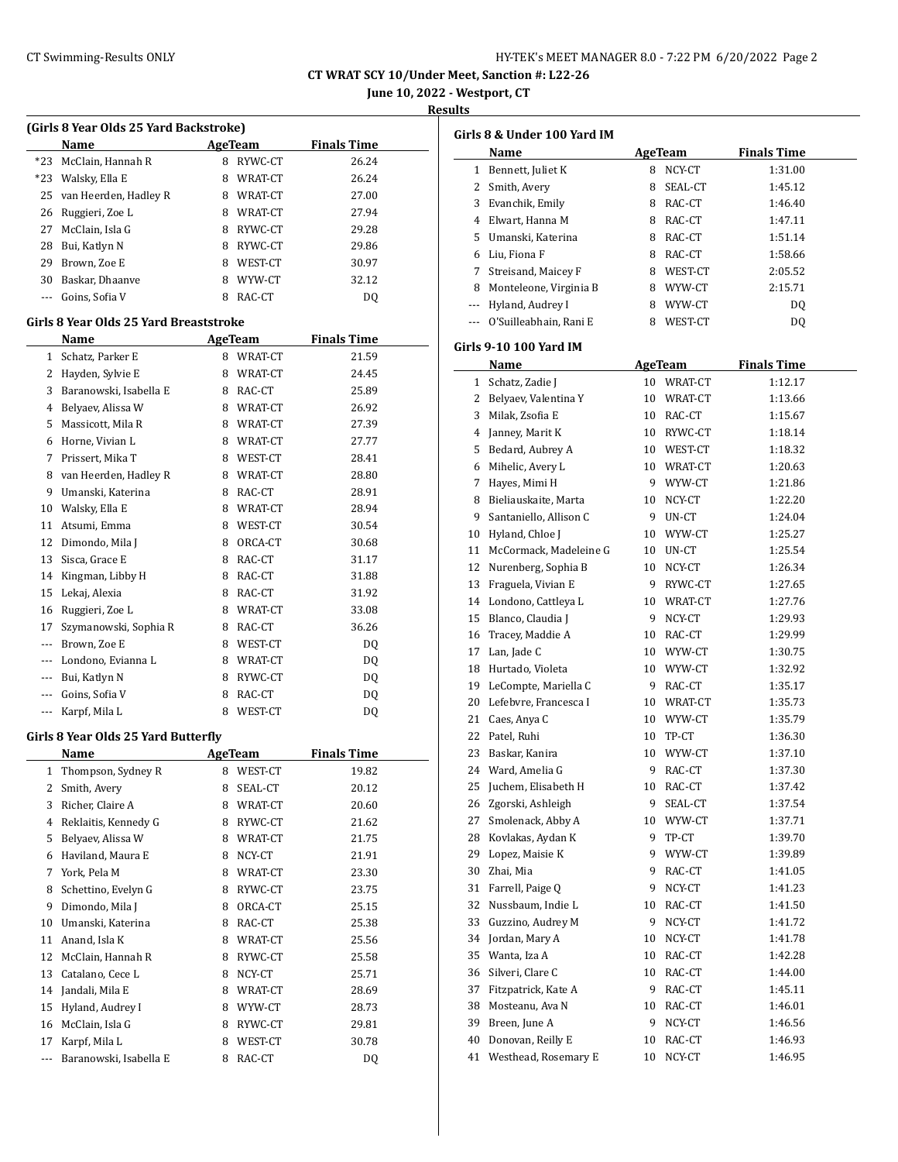## CT Swimming-Results ONLY **EXAMPLE 1999 CONCOMPTER'S MEET MANAGER 8.0 - 7:22 PM 6/20/2022** Page 2

**CT WRAT SCY 10/Under Meet, Sanction #: L22-26**

**June 10, 2022 - Westport, CT**

### **Results**

| (Girls 8 Year Olds 25 Yard Backstroke) |                       |                    |
|----------------------------------------|-----------------------|--------------------|
| Name                                   | AgeTeam               | <b>Finals Time</b> |
| *23 McClain, Hannah R                  | 8 RYWC-CT             | 26.24              |
| *23 Walsky, Ella E                     | 8 WRAT-CT             | 26.24              |
| 25 van Heerden, Hadley R               | 8 WRAT-CT             | 27.00              |
| 26 Duggjori Zoo L                      | $Q$ $M$ $D$ $AT$ $CT$ | 2701               |

|  | 26 Ruggieri, Zoe L |    | 8 WRAT-CT | 27.94 |
|--|--------------------|----|-----------|-------|
|  | 27 McClain, Isla G | 8  | RYWC-CT   | 29.28 |
|  | 28 Bui, Katlyn N   | 8. | RYWC-CT   | 29.86 |
|  | 29 Brown, Zoe E    | 8  | WEST-CT   | 30.97 |
|  | 30 Baskar, Dhaanve | 8. | WYW-CT    | 32.12 |
|  | --- Goins, Sofia V |    | RAC-CT    | DΟ    |

# **Girls 8 Year Olds 25 Yard Breaststroke**

|          | Name                   |   | <b>AgeTeam</b> | <b>Finals Time</b> |  |
|----------|------------------------|---|----------------|--------------------|--|
| 1        | Schatz, Parker E       | 8 | WRAT-CT        | 21.59              |  |
| 2        | Hayden, Sylvie E       | 8 | WRAT-CT        | 24.45              |  |
| 3        | Baranowski, Isabella E | 8 | RAC-CT         | 25.89              |  |
| 4        | Belyaev, Alissa W      | 8 | WRAT-CT        | 26.92              |  |
| 5        | Massicott. Mila R      | 8 | WRAT-CT        | 27.39              |  |
| 6        | Horne, Vivian L        | 8 | WRAT-CT        | 27.77              |  |
| 7        | Prissert, Mika T       | 8 | WEST-CT        | 28.41              |  |
| 8        | van Heerden, Hadley R  | 8 | WRAT-CT        | 28.80              |  |
| 9        | Umanski, Katerina      | 8 | RAC-CT         | 28.91              |  |
| 10       | Walsky, Ella E         | 8 | WRAT-CT        | 28.94              |  |
| 11       | Atsumi, Emma           | 8 | WEST-CT        | 30.54              |  |
| 12       | Dimondo, Mila J        | 8 | ORCA-CT        | 30.68              |  |
| 13       | Sisca, Grace E         | 8 | RAC-CT         | 31.17              |  |
| 14       | Kingman, Libby H       | 8 | RAC-CT         | 31.88              |  |
| 15       | Lekaj, Alexia          | 8 | RAC-CT         | 31.92              |  |
| 16       | Ruggieri, Zoe L        | 8 | WRAT-CT        | 33.08              |  |
| 17       | Szymanowski, Sophia R  | 8 | RAC-CT         | 36.26              |  |
| $---$    | Brown, Zoe E           | 8 | WEST-CT        | DO.                |  |
| ---      | Londono, Evianna L     | 8 | WRAT-CT        | DQ                 |  |
| $---$    | Bui, Katlyn N          | 8 | RYWC-CT        | DQ                 |  |
|          | Goins, Sofia V         | 8 | RAC-CT         | DQ                 |  |
| $\cdots$ | Karpf, Mila L          | 8 | WEST-CT        | DQ                 |  |

### **Girls 8 Year Olds 25 Yard Butterfly**

|    | Name                   |   | AgeTeam | <b>Finals Time</b> |
|----|------------------------|---|---------|--------------------|
| 1  | Thompson, Sydney R     | 8 | WEST-CT | 19.82              |
| 2  | Smith, Avery           | 8 | SEAL-CT | 20.12              |
| 3  | Richer, Claire A       | 8 | WRAT-CT | 20.60              |
| 4  | Reklaitis, Kennedy G   | 8 | RYWC-CT | 21.62              |
| 5  | Belyaev, Alissa W      | 8 | WRAT-CT | 21.75              |
| 6  | Haviland, Maura E      | 8 | NCY-CT  | 21.91              |
| 7  | York, Pela M           | 8 | WRAT-CT | 23.30              |
| 8  | Schettino, Evelyn G    | 8 | RYWC-CT | 23.75              |
| 9  | Dimondo, Mila J        | 8 | ORCA-CT | 25.15              |
| 10 | Umanski, Katerina      | 8 | RAC-CT  | 25.38              |
| 11 | Anand, Isla K          | 8 | WRAT-CT | 25.56              |
| 12 | McClain, Hannah R      | 8 | RYWC-CT | 25.58              |
| 13 | Catalano, Cece L       | 8 | NCY-CT  | 25.71              |
| 14 | Jandali, Mila E        | 8 | WRAT-CT | 28.69              |
| 15 | Hyland, Audrey I       | 8 | WYW-CT  | 28.73              |
| 16 | McClain, Isla G        | 8 | RYWC-CT | 29.81              |
| 17 | Karpf, Mila L          | 8 | WEST-CT | 30.78              |
|    | Baranowski, Isabella E | 8 | RAC-CT  | DQ                 |

|     | Girls 8 & Under 100 Yard IM<br>Name |    | AgeTeam        | <b>Finals Time</b> |
|-----|-------------------------------------|----|----------------|--------------------|
|     | 1 Bennett, Juliet K                 | 8  | NCY-CT         | 1:31.00            |
|     | 2 Smith, Avery                      | 8  | SEAL-CT        | 1:45.12            |
|     | 3 Evanchik, Emily                   |    | 8 RAC-CT       | 1:46.40            |
|     | 4 Elwart, Hanna M                   |    | 8 RAC-CT       | 1:47.11            |
|     | 5 Umanski, Katerina                 |    | 8 RAC-CT       | 1:51.14            |
|     | 6 Liu, Fiona F                      |    | 8 RAC-CT       | 1:58.66            |
|     | 7 Streisand, Maicey F               |    | 8 WEST-CT      | 2:05.52            |
|     | 8 Monteleone, Virginia B            |    | 8 WYW-CT       | 2:15.71            |
|     | --- Hyland, Audrey I                |    | 8 WYW-CT       |                    |
|     |                                     |    |                | DQ                 |
| --- | O'Suilleabhain, Rani E              |    | 8 WEST-CT      | DQ                 |
|     | Girls 9-10 100 Yard IM<br>Name      |    | <b>AgeTeam</b> | <b>Finals Time</b> |
|     | 1 Schatz, Zadie J                   |    | 10 WRAT-CT     | 1:12.17            |
|     | 2 Belyaev, Valentina Y              |    | 10 WRAT-CT     | 1:13.66            |
|     |                                     |    |                |                    |
|     | 3 Milak, Zsofia E                   |    | 10 RAC-CT      | 1:15.67            |
|     | 4 Janney, Marit K                   |    | 10 RYWC-CT     | 1:18.14            |
|     | 5 Bedard, Aubrey A                  |    | 10 WEST-CT     | 1:18.32            |
|     | 6 Mihelic, Avery L                  |    | 10 WRAT-CT     | 1:20.63            |
|     | 7 Hayes, Mimi H                     |    | 9 WYW-CT       | 1:21.86            |
|     | 8 Bieliauskaite, Marta              |    | 10 NCY-CT      | 1:22.20            |
|     | 9 Santaniello, Allison C            |    | 9 UN-CT        | 1:24.04            |
|     | 10 Hyland, Chloe J                  |    | 10 WYW-CT      | 1:25.27            |
|     | 11 McCormack, Madeleine G           |    | 10 UN-CT       | 1:25.54            |
|     | 12 Nurenberg, Sophia B              |    | 10 NCY-CT      | 1:26.34            |
|     | 13 Fraguela, Vivian E               |    | 9 RYWC-CT      | 1:27.65            |
|     | 14 Londono, Cattleya L              |    | 10 WRAT-CT     | 1:27.76            |
|     | 15 Blanco, Claudia J                |    | 9 NCY-CT       | 1:29.93            |
|     | 16 Tracey, Maddie A                 |    | 10 RAC-CT      | 1:29.99            |
|     | 17 Lan, Jade C                      |    | 10 WYW-CT      | 1:30.75            |
|     | 18 Hurtado, Violeta                 |    | 10 WYW-CT      | 1:32.92            |
|     | 19 LeCompte, Mariella C             |    | 9 RAC-CT       | 1:35.17            |
|     | 20 Lefebvre, Francesca I            |    | 10 WRAT-CT     | 1:35.73            |
|     | 21 Caes, Anya C                     |    | 10 WYW-CT      | 1:35.79            |
|     | 22 Patel, Ruhi                      |    | 10 TP-CT       | 1:36.30            |
|     | 23 Baskar, Kanira                   | 10 | WYW-CT         | 1:37.10            |
|     | 24 Ward, Amelia G                   | 9  | RAC-CT         | 1:37.30            |
| 25  | Juchem, Elisabeth H                 | 10 | RAC-CT         | 1:37.42            |
| 26  | Zgorski, Ashleigh                   | 9  | SEAL-CT        | 1:37.54            |
| 27  | Smolenack, Abby A                   |    | WYW-CT         |                    |
|     |                                     | 10 |                | 1:37.71            |
| 28  | Kovlakas, Aydan K                   | 9  | TP-CT          | 1:39.70            |
| 29  | Lopez, Maisie K                     | 9  | WYW-CT         | 1:39.89            |
| 30  | Zhai, Mia                           | 9  | RAC-CT         | 1:41.05            |
| 31  | Farrell, Paige Q                    | 9  | NCY-CT         | 1:41.23            |
| 32  | Nussbaum, Indie L                   | 10 | RAC-CT         | 1:41.50            |
| 33  | Guzzino, Audrey M                   | 9  | NCY-CT         | 1:41.72            |
| 34  | Jordan, Mary A                      | 10 | NCY-CT         | 1:41.78            |
| 35  | Wanta, Iza A                        | 10 | RAC-CT         | 1:42.28            |
| 36  | Silveri, Clare C                    | 10 | RAC-CT         | 1:44.00            |
| 37  | Fitzpatrick, Kate A                 | 9  | RAC-CT         | 1:45.11            |
| 38  | Mosteanu, Ava N                     | 10 | RAC-CT         | 1:46.01            |
| 39  | Breen, June A                       | 9  | NCY-CT         | 1:46.56            |
| 40  | Donovan, Reilly E                   | 10 | RAC-CT         | 1:46.93            |
| 41  | Westhead, Rosemary E                | 10 | NCY-CT         | 1:46.95            |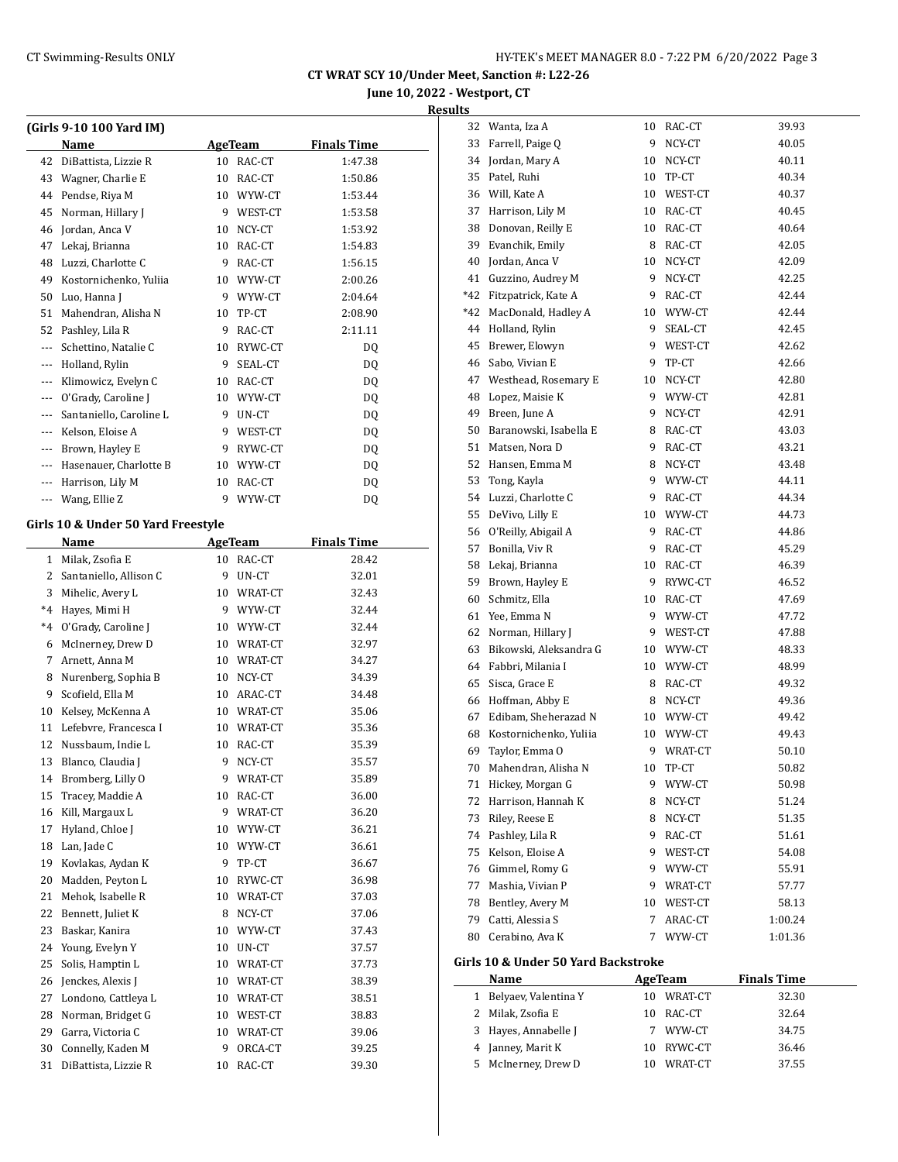**June 10, 2022 - Westport, CT**

| a.<br>ш<br>۰.<br>., |  |
|---------------------|--|
|                     |  |

|          | (Girls 9-10 100 Yard IM)           |    |         |                    |  |
|----------|------------------------------------|----|---------|--------------------|--|
|          | Name                               |    | AgeTeam | <b>Finals Time</b> |  |
| 42       | DiBattista, Lizzie R               | 10 | RAC-CT  | 1:47.38            |  |
| 43       | Wagner, Charlie E                  | 10 | RAC-CT  | 1:50.86            |  |
| 44       | Pendse, Riya M                     | 10 | WYW-CT  | 1:53.44            |  |
| 45       | Norman, Hillary J                  | 9  | WEST-CT | 1:53.58            |  |
| 46       | Jordan, Anca V                     | 10 | NCY-CT  | 1:53.92            |  |
| 47       | Lekaj, Brianna                     | 10 | RAC-CT  | 1:54.83            |  |
| 48       | Luzzi, Charlotte C                 | 9  | RAC-CT  | 1:56.15            |  |
| 49       | Kostornichenko, Yuliia             | 10 | WYW-CT  | 2:00.26            |  |
| 50       | Luo, Hanna J                       | 9  | WYW-CT  | 2:04.64            |  |
| 51       | Mahendran, Alisha N                | 10 | TP-CT   | 2:08.90            |  |
| 52       | Pashley, Lila R                    | 9  | RAC-CT  | 2:11.11            |  |
| ---      | Schettino, Natalie C               | 10 | RYWC-CT | D <sub>0</sub>     |  |
| ---      | Holland, Rylin                     | 9  | SEAL-CT | DQ                 |  |
| ---      | Klimowicz, Evelyn C                | 10 | RAC-CT  | DQ                 |  |
| ---      | O'Grady, Caroline J                | 10 | WYW-CT  | DQ                 |  |
| $\cdots$ | Santaniello, Caroline L            | 9  | UN-CT   | DQ                 |  |
| $---$    | Kelson, Eloise A                   | 9  | WEST-CT | DO.                |  |
| $\cdots$ | Brown, Hayley E                    | 9  | RYWC-CT | D <sub>0</sub>     |  |
| ---      | Hasenauer, Charlotte B             | 10 | WYW-CT  | DQ                 |  |
| ---      | Harrison, Lily M                   | 10 | RAC-CT  | DQ                 |  |
| $\cdots$ | Wang, Ellie Z                      | 9  | WYW-CT  | DQ                 |  |
|          | Girls 10 & Under 50 Yard Freestyle |    |         |                    |  |
|          | Name                               |    | AgeTeam | <b>Finals Time</b> |  |

#### **Girls 10 & Under 50 Yard Freestyle**

|      | Name                   |    | аge геанг | гшать гипе |
|------|------------------------|----|-----------|------------|
| 1    | Milak, Zsofia E        | 10 | RAC-CT    | 28.42      |
| 2    | Santaniello, Allison C | 9  | UN-CT     | 32.01      |
| 3    | Mihelic, Avery L       | 10 | WRAT-CT   | 32.43      |
| $*4$ | Hayes, Mimi H          | 9  | WYW-CT    | 32.44      |
| $*4$ | O'Grady, Caroline J    | 10 | WYW-CT    | 32.44      |
| 6    | McInerney, Drew D      | 10 | WRAT-CT   | 32.97      |
| 7    | Arnett, Anna M         | 10 | WRAT-CT   | 34.27      |
| 8    | Nurenberg, Sophia B    | 10 | NCY-CT    | 34.39      |
| 9    | Scofield, Ella M       | 10 | ARAC-CT   | 34.48      |
| 10   | Kelsey, McKenna A      | 10 | WRAT-CT   | 35.06      |
| 11   | Lefebvre, Francesca I  | 10 | WRAT-CT   | 35.36      |
| 12   | Nussbaum, Indie L      | 10 | RAC-CT    | 35.39      |
| 13   | Blanco, Claudia J      | 9  | NCY-CT    | 35.57      |
| 14   | Bromberg, Lilly O      | 9  | WRAT-CT   | 35.89      |
| 15   | Tracey, Maddie A       | 10 | RAC-CT    | 36.00      |
| 16   | Kill, Margaux L        | 9  | WRAT-CT   | 36.20      |
| 17   | Hyland, Chloe J        | 10 | WYW-CT    | 36.21      |
| 18   | Lan, Jade C            | 10 | WYW-CT    | 36.61      |
| 19   | Kovlakas, Aydan K      | 9  | TP-CT     | 36.67      |
| 20   | Madden, Peyton L       | 10 | RYWC-CT   | 36.98      |
| 21   | Mehok, Isabelle R      | 10 | WRAT-CT   | 37.03      |
| 22   | Bennett, Juliet K      | 8  | NCY-CT    | 37.06      |
| 23   | Baskar, Kanira         | 10 | WYW-CT    | 37.43      |
| 24   | Young, Evelyn Y        | 10 | UN-CT     | 37.57      |
| 25   | Solis, Hamptin L       | 10 | WRAT-CT   | 37.73      |
| 26   | Jenckes, Alexis J      | 10 | WRAT-CT   | 38.39      |
| 27   | Londono, Cattleya L    | 10 | WRAT-CT   | 38.51      |
| 28   | Norman, Bridget G      | 10 | WEST-CT   | 38.83      |
| 29   | Garra, Victoria C      | 10 | WRAT-CT   | 39.06      |
| 30   | Connelly, Kaden M      | 9  | ORCA-CT   | 39.25      |
| 31   | DiBattista, Lizzie R   | 10 | RAC-CT    | 39.30      |
|      |                        |    |           |            |

| 32  | Wanta, Iza A                        | 10 | RAC-CT  | 39.93   |
|-----|-------------------------------------|----|---------|---------|
| 33  | Farrell, Paige Q                    | 9  | NCY-CT  | 40.05   |
| 34  | Jordan, Mary A                      | 10 | NCY-CT  | 40.11   |
| 35  | Patel, Ruhi                         | 10 | TP-CT   | 40.34   |
| 36  | Will, Kate A                        | 10 | WEST-CT | 40.37   |
| 37  | Harrison, Lily M                    | 10 | RAC-CT  | 40.45   |
| 38  | Donovan, Reilly E                   | 10 | RAC-CT  | 40.64   |
| 39  | Evanchik, Emily                     | 8  | RAC-CT  | 42.05   |
| 40  | Jordan, Anca V                      | 10 | NCY-CT  | 42.09   |
| 41  | Guzzino, Audrey M                   | 9  | NCY-CT  | 42.25   |
| *42 | Fitzpatrick, Kate A                 | 9  | RAC-CT  | 42.44   |
| *42 | MacDonald, Hadley A                 | 10 | WYW-CT  | 42.44   |
| 44  | Holland, Rylin                      | 9  | SEAL-CT | 42.45   |
| 45  | Brewer, Elowyn                      | 9  | WEST-CT | 42.62   |
| 46  | Sabo, Vivian E                      | 9  | TP-CT   | 42.66   |
| 47  | Westhead, Rosemary E                | 10 | NCY-CT  | 42.80   |
| 48  | Lopez, Maisie K                     | 9  | WYW-CT  | 42.81   |
| 49  | Breen, June A                       | 9  | NCY-CT  | 42.91   |
| 50  | Baranowski, Isabella E              | 8  | RAC-CT  | 43.03   |
| 51  | Matsen, Nora D                      | 9  | RAC-CT  | 43.21   |
| 52  | Hansen, Emma M                      | 8  | NCY-CT  | 43.48   |
| 53  | Tong, Kayla                         | 9  | WYW-CT  | 44.11   |
| 54  | Luzzi, Charlotte C                  | 9  | RAC-CT  | 44.34   |
| 55  | DeVivo, Lilly E                     | 10 | WYW-CT  | 44.73   |
| 56  | O'Reilly, Abigail A                 | 9  | RAC-CT  | 44.86   |
| 57  | Bonilla, Viv R                      | 9  | RAC-CT  | 45.29   |
| 58  | Lekaj, Brianna                      | 10 | RAC-CT  | 46.39   |
| 59  | Brown, Hayley E                     | 9  | RYWC-CT | 46.52   |
| 60  | Schmitz, Ella                       | 10 | RAC-CT  | 47.69   |
| 61  | Yee, Emma N                         | 9  | WYW-CT  | 47.72   |
| 62  | Norman, Hillary J                   | 9  | WEST-CT | 47.88   |
| 63  | Bikowski, Aleksandra G              | 10 | WYW-CT  | 48.33   |
| 64  | Fabbri, Milania I                   | 10 | WYW-CT  | 48.99   |
| 65  | Sisca, Grace E                      | 8  | RAC-CT  | 49.32   |
| 66  | Hoffman, Abby E                     | 8  | NCY-CT  | 49.36   |
| 67  | Edibam, Sheherazad N                | 10 | WYW-CT  | 49.42   |
| 68  | Kostornichenko, Yuliia              | 10 | WYW-CT  | 49.43   |
| 69  | Taylor, Emma O                      | 9  | WRAT-CT | 50.10   |
| 70  | Mahendran, Alisha N                 | 10 | TP-CT   | 50.82   |
| 71  | Hickey, Morgan G                    | 9  | WYW-CT  | 50.98   |
| 72  | Harrison, Hannah K                  | 8  | NCY-CT  | 51.24   |
| 73  | Riley, Reese E                      | 8  | NCY-CT  | 51.35   |
| 74  | Pashley, Lila R                     | 9  | RAC-CT  | 51.61   |
| 75  | Kelson, Eloise A                    | 9  | WEST-CT | 54.08   |
| 76  | Gimmel, Romy G                      | 9  | WYW-CT  | 55.91   |
| 77  | Mashia, Vivian P                    | 9  | WRAT-CT | 57.77   |
| 78  | Bentley, Avery M                    | 10 | WEST-CT | 58.13   |
| 79  | Catti, Alessia S                    | 7  | ARAC-CT | 1:00.24 |
| 80  | Cerabino, Ava K                     | 7  | WYW-CT  | 1:01.36 |
|     | Girls 10 & Under 50 Yard Backstroke |    |         |         |
|     |                                     |    |         |         |

| <b>Name</b>            |    | AgeTeam    | <b>Finals Time</b> |
|------------------------|----|------------|--------------------|
| 1 Belyaev, Valentina Y |    | 10 WRAT-CT | 32.30              |
| 2 Milak, Zsofia E      |    | 10 RAC-CT  | 32.64              |
| 3 Hayes, Annabelle J   | 7  | WYW-CT     | 34.75              |
| 4 Janney, Marit K      |    | 10 RYWC-CT | 36.46              |
| 5 McInerney, Drew D    | 10 | WRAT-CT    | 37.55              |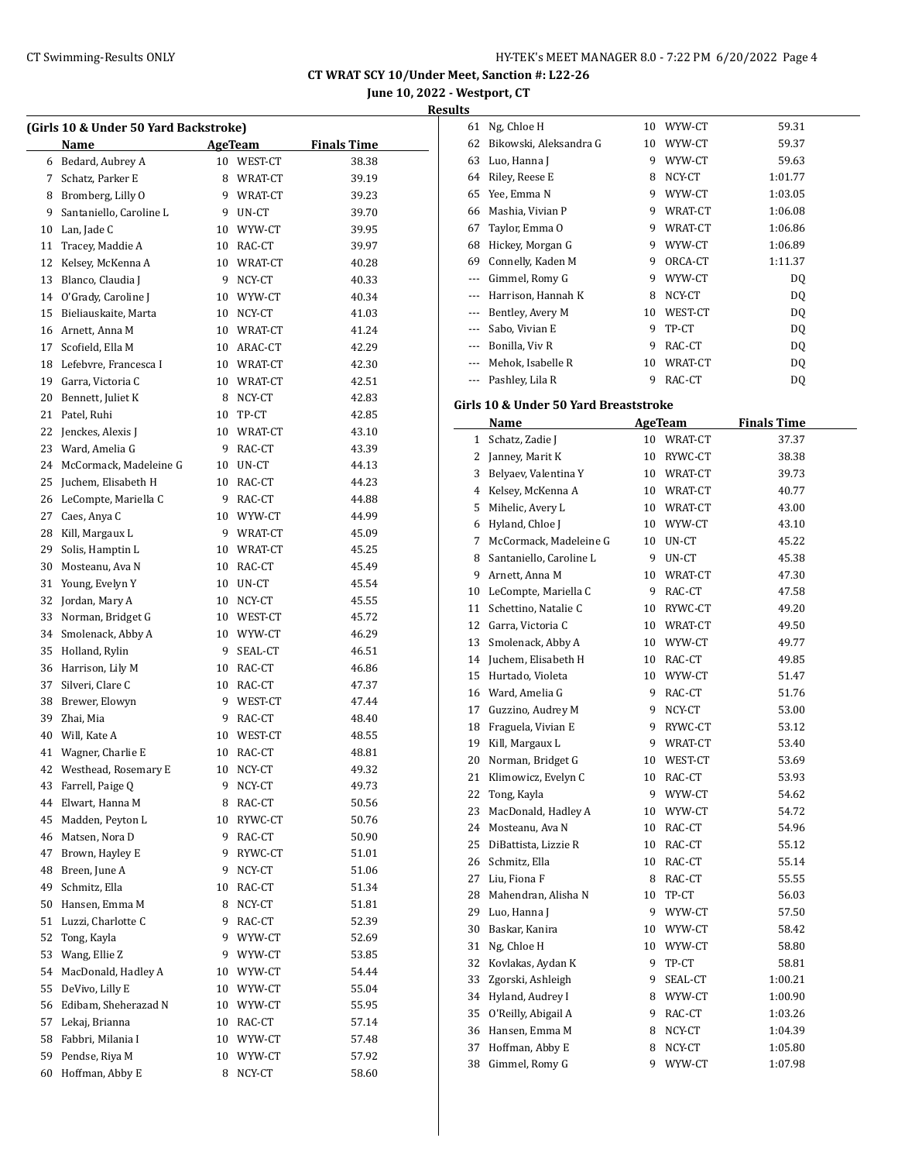**June 10, 2022 - Westport, CT Results**

|             | (Girls 10 & Under 50 Yard Backstroke) |    |            |                    |  |  |
|-------------|---------------------------------------|----|------------|--------------------|--|--|
|             | Name                                  |    | AgeTeam    | <b>Finals Time</b> |  |  |
|             | 6 Bedard, Aubrey A                    |    | 10 WEST-CT | 38.38              |  |  |
| $7^{\circ}$ | Schatz, Parker E                      |    | 8 WRAT-CT  | 39.19              |  |  |
| 8           | Bromberg, Lilly O                     |    | 9 WRAT-CT  | 39.23              |  |  |
| 9           | Santaniello, Caroline L               |    | 9 UN-CT    | 39.70              |  |  |
| 10          | Lan, Jade C                           |    | 10 WYW-CT  | 39.95              |  |  |
| 11          | Tracey, Maddie A                      |    | 10 RAC-CT  | 39.97              |  |  |
| 12          | Kelsey, McKenna A                     |    | 10 WRAT-CT | 40.28              |  |  |
| 13          | Blanco, Claudia J                     |    | 9 NCY-CT   | 40.33              |  |  |
|             | 14 O'Grady, Caroline J                |    | 10 WYW-CT  | 40.34              |  |  |
| 15          | Bieliauskaite, Marta                  |    | 10 NCY-CT  | 41.03              |  |  |
|             | 16 Arnett, Anna M                     |    | 10 WRAT-CT | 41.24              |  |  |
| 17          | Scofield, Ella M                      |    | 10 ARAC-CT | 42.29              |  |  |
| 18          | Lefebvre, Francesca I                 |    | 10 WRAT-CT | 42.30              |  |  |
| 19          | Garra, Victoria C                     |    | 10 WRAT-CT | 42.51              |  |  |
| 20          | Bennett, Juliet K                     |    | 8 NCY-CT   | 42.83              |  |  |
| 21          | Patel, Ruhi                           |    | 10 TP-CT   | 42.85              |  |  |
| 22          | Jenckes, Alexis J                     |    | 10 WRAT-CT | 43.10              |  |  |
| 23          | Ward, Amelia G                        |    | 9 RAC-CT   | 43.39              |  |  |
| 24          | McCormack, Madeleine G                |    | 10 UN-CT   | 44.13              |  |  |
| 25          | Juchem, Elisabeth H                   |    | 10 RAC-CT  | 44.23              |  |  |
| 26          | LeCompte, Mariella C                  |    | 9 RAC-CT   | 44.88              |  |  |
| 27          | Caes, Anya C                          |    | 10 WYW-CT  | 44.99              |  |  |
| 28          | Kill, Margaux L                       |    | 9 WRAT-CT  | 45.09              |  |  |
| 29          | Solis, Hamptin L                      |    | 10 WRAT-CT | 45.25              |  |  |
| 30          | Mosteanu, Ava N                       |    | 10 RAC-CT  | 45.49              |  |  |
| 31          | Young, Evelyn Y                       |    | 10 UN-CT   |                    |  |  |
| 32          |                                       |    | 10 NCY-CT  | 45.54              |  |  |
| 33          | Jordan, Mary A                        |    |            | 45.55              |  |  |
|             | Norman, Bridget G                     |    | 10 WEST-CT | 45.72              |  |  |
| 34          | Smolenack, Abby A                     |    | 10 WYW-CT  | 46.29              |  |  |
| 35          | Holland, Rylin                        |    | 9 SEAL-CT  | 46.51              |  |  |
| 36          | Harrison, Lily M                      |    | 10 RAC-CT  | 46.86              |  |  |
| 37          | Silveri, Clare C                      |    | 10 RAC-CT  | 47.37              |  |  |
| 38          | Brewer, Elowyn                        |    | 9 WEST-CT  | 47.44              |  |  |
| 39          | Zhai, Mia                             |    | 9 RAC-CT   | 48.40              |  |  |
| 40          | Will, Kate A                          |    | 10 WEST-CT | 48.55              |  |  |
| 41          | Wagner, Charlie E                     |    | 10 RAC-CT  | 48.81              |  |  |
| 42          | Westhead, Rosemary E                  | 10 | NCY-CT     | 49.32              |  |  |
| 43          | Farrell, Paige Q                      | 9  | NCY-CT     | 49.73              |  |  |
| 44          | Elwart, Hanna M                       | 8  | RAC-CT     | 50.56              |  |  |
| 45          | Madden, Peyton L                      | 10 | RYWC-CT    | 50.76              |  |  |
| 46          | Matsen, Nora D                        | 9  | RAC-CT     | 50.90              |  |  |
| 47          | Brown, Hayley E                       | 9  | RYWC-CT    | 51.01              |  |  |
| 48          | Breen, June A                         | 9  | NCY-CT     | 51.06              |  |  |
| 49          | Schmitz, Ella                         | 10 | RAC-CT     | 51.34              |  |  |
| 50          | Hansen, Emma M                        | 8  | NCY-CT     | 51.81              |  |  |
| 51          | Luzzi, Charlotte C                    | 9  | RAC-CT     | 52.39              |  |  |
| 52          | Tong, Kayla                           | 9  | WYW-CT     | 52.69              |  |  |
| 53          | Wang, Ellie Z                         | 9  | WYW-CT     | 53.85              |  |  |
| 54          | MacDonald, Hadley A                   | 10 | WYW-CT     | 54.44              |  |  |
| 55          | DeVivo, Lilly E                       | 10 | WYW-CT     | 55.04              |  |  |
| 56          | Edibam, Sheherazad N                  | 10 | WYW-CT     | 55.95              |  |  |
| 57          | Lekaj, Brianna                        | 10 | RAC-CT     | 57.14              |  |  |
| 58          | Fabbri, Milania I                     | 10 | WYW-CT     | 57.48              |  |  |
| 59          | Pendse, Riya M                        | 10 | WYW-CT     | 57.92              |  |  |
| 60          | Hoffman, Abby E                       | 8  | NCY-CT     | 58.60              |  |  |
|             |                                       |    |            |                    |  |  |

| 61       | Ng, Chloe H                           | 10 | WYW-CT         | 59.31              |  |
|----------|---------------------------------------|----|----------------|--------------------|--|
| 62       | Bikowski, Aleksandra G                | 10 | WYW-CT         | 59.37              |  |
| 63       | Luo, Hanna J                          | 9  | WYW-CT         | 59.63              |  |
| 64       | Riley, Reese E                        | 8  | NCY-CT         | 1:01.77            |  |
| 65       | Yee, Emma N                           | 9  | WYW-CT         | 1:03.05            |  |
| 66       | Mashia, Vivian P                      | 9  | WRAT-CT        | 1:06.08            |  |
| 67       | Taylor, Emma O                        | 9  | WRAT-CT        | 1:06.86            |  |
| 68       | Hickey, Morgan G                      | 9  | WYW-CT         | 1:06.89            |  |
| 69       | Connelly, Kaden M                     | 9  | ORCA-CT        | 1:11.37            |  |
| ---      | Gimmel, Romy G                        | 9  | WYW-CT         | DQ                 |  |
| ---      | Harrison, Hannah K                    | 8  | NCY-CT         | DQ                 |  |
|          | --- Bentley, Avery M                  | 10 | WEST-CT        | DQ                 |  |
| $\cdots$ | Sabo, Vivian E                        | 9  | TP-CT          | DQ                 |  |
|          | --- Bonilla, Viv R                    | 9  | RAC-CT         | DQ                 |  |
|          | --- Mehok, Isabelle R                 | 10 | WRAT-CT        | DQ                 |  |
| ---      | Pashley, Lila R                       | 9  | RAC-CT         | DQ                 |  |
|          |                                       |    |                |                    |  |
|          | Girls 10 & Under 50 Yard Breaststroke |    |                |                    |  |
|          | Name                                  |    | <b>AgeTeam</b> | <b>Finals Time</b> |  |
|          | 1 Schatz, Zadie J                     |    | 10 WRAT-CT     | 37.37              |  |
| 2        | Janney, Marit K                       | 10 | RYWC-CT        | 38.38              |  |
| 3        | Belyaev, Valentina Y                  | 10 | WRAT-CT        | 39.73              |  |
| 4        | Kelsey, McKenna A                     | 10 | WRAT-CT        | 40.77              |  |
| 5        | Mihelic, Avery L                      |    | 10 WRAT-CT     | 43.00              |  |
| 6        | Hyland, Chloe J                       | 10 | WYW-CT         | 43.10              |  |
| 7        | McCormack, Madeleine G                | 10 | UN-CT          | 45.22              |  |
| 8        | Santaniello, Caroline L               | 9  | UN-CT          | 45.38              |  |
| 9        | Arnett, Anna M                        | 10 | WRAT-CT        | 47.30              |  |
| 10       | LeCompte, Mariella C                  | 9  | RAC-CT         | 47.58              |  |
| 11       | Schettino, Natalie C                  | 10 | RYWC-CT        | 49.20              |  |
|          | 12 Garra, Victoria C                  | 10 | WRAT-CT        | 49.50              |  |
| 13       | Smolenack, Abby A                     | 10 | WYW-CT         | 49.77              |  |
| 14       | Juchem, Elisabeth H                   | 10 | RAC-CT         | 49.85              |  |
| 15       | Hurtado, Violeta                      | 10 | WYW-CT         | 51.47              |  |
| 16       | Ward, Amelia G                        | 9  | RAC-CT         | 51.76              |  |
| 17       | Guzzino, Audrey M                     | 9  | NCY-CT         | 53.00              |  |
| 18       | Fraguela, Vivian E                    | 9  | RYWC-CT        | 53.12              |  |
| 19       | Kill, Margaux L                       | 9  | WRAT-CT        | 53.40              |  |
| 20       | Norman, Bridget G                     | 10 | WEST-CT        | 53.69              |  |
| 21       | Klimowicz, Evelyn C                   | 10 | RAC-CT         | 53.93              |  |
| 22       | Tong, Kayla                           | 9  | WYW-CT         | 54.62              |  |
| 23       | MacDonald, Hadley A                   | 10 | WYW-CT         | 54.72              |  |
| 24       | Mosteanu, Ava N                       | 10 | RAC-CT         | 54.96              |  |
| 25       | DiBattista, Lizzie R                  | 10 | RAC-CT         | 55.12              |  |
| 26       | Schmitz, Ella                         | 10 | RAC-CT         | 55.14              |  |
| 27       | Liu, Fiona F                          | 8  | RAC-CT         | 55.55              |  |
| 28       | Mahendran, Alisha N                   | 10 | TP-CT          | 56.03              |  |
| 29       | Luo, Hanna J                          | 9  | WYW-CT         | 57.50              |  |
| 30       | Baskar, Kanira                        | 10 | WYW-CT         | 58.42              |  |
| 31       | Ng, Chloe H                           | 10 | WYW-CT         | 58.80              |  |
| 32       | Kovlakas, Aydan K                     | 9  | TP-CT          | 58.81              |  |
| 33       | Zgorski, Ashleigh                     | 9  | SEAL-CT        | 1:00.21            |  |
| 34       | Hyland, Audrey I                      | 8  | WYW-CT         | 1:00.90            |  |
| 35       | O'Reilly, Abigail A                   | 9  | RAC-CT         | 1:03.26            |  |
| 36       | Hansen, Emma M                        | 8  | NCY-CT         | 1:04.39            |  |
| 37       | Hoffman, Abby E                       | 8  | NCY-CT         | 1:05.80            |  |
| 38       | Gimmel, Romy G                        | 9  | WYW-CT         | 1:07.98            |  |
|          |                                       |    |                |                    |  |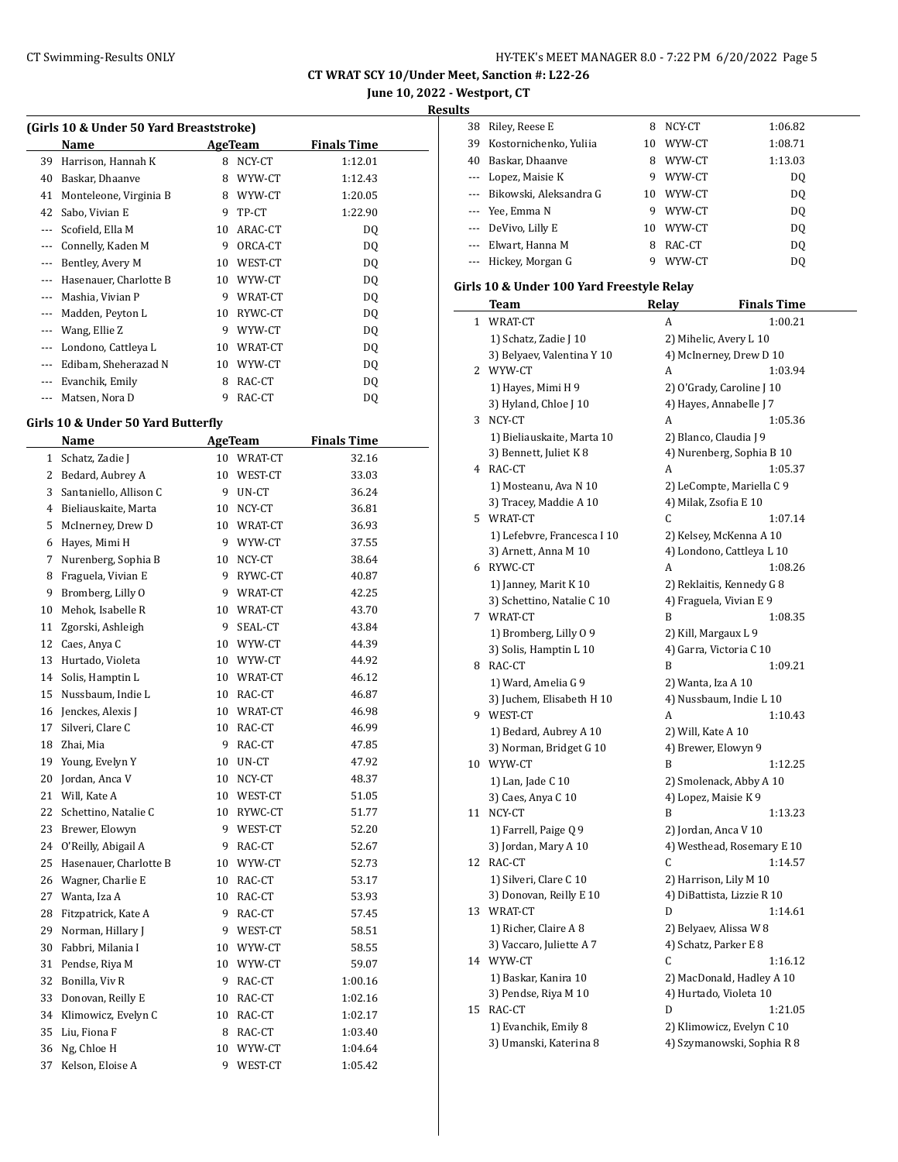**June 10, 2022 - Westport, CT Results**

### **(Girls 10 & Under 50 Yard Breaststroke)**

|          | Name                   |    | AgeTeam | <b>Finals Time</b> |  |  |  |
|----------|------------------------|----|---------|--------------------|--|--|--|
| 39       | Harrison, Hannah K     | 8  | NCY-CT  | 1:12.01            |  |  |  |
| 40       | Baskar, Dhaanve        | 8  | WYW-CT  | 1:12.43            |  |  |  |
| 41       | Monteleone, Virginia B | 8  | WYW-CT  | 1:20.05            |  |  |  |
| 42       | Sabo, Vivian E         | 9  | TP-CT   | 1:22.90            |  |  |  |
|          | Scofield, Ella M       | 10 | ARAC-CT | DQ                 |  |  |  |
|          | Connelly, Kaden M      | 9  | ORCA-CT | DQ                 |  |  |  |
|          | Bentley, Avery M       | 10 | WEST-CT | DQ                 |  |  |  |
|          | Hasenauer, Charlotte B | 10 | WYW-CT  | DQ                 |  |  |  |
|          | Mashia, Vivian P       | 9  | WRAT-CT | DQ                 |  |  |  |
|          | Madden, Peyton L       | 10 | RYWC-CT | DQ                 |  |  |  |
|          | Wang, Ellie Z          | 9  | WYW-CT  | DQ                 |  |  |  |
|          | Londono, Cattleya L    | 10 | WRAT-CT | DQ                 |  |  |  |
| $\cdots$ | Edibam, Sheherazad N   | 10 | WYW-CT  | DQ                 |  |  |  |
|          | Evanchik, Emily        | 8  | RAC-CT  | DQ                 |  |  |  |
|          | Matsen, Nora D         | 9  | RAC-CT  | DQ                 |  |  |  |

### **Girls 10 & Under 50 Yard Butterfly**

 $\frac{1}{2}$ 

|    | Name                   | <b>AgeTeam</b> |         | <b>Finals Time</b> |  |
|----|------------------------|----------------|---------|--------------------|--|
| 1  | Schatz, Zadie J        | 10             | WRAT-CT | 32.16              |  |
| 2  | Bedard, Aubrey A       | 10             | WEST-CT | 33.03              |  |
| 3  | Santaniello, Allison C | 9              | UN-CT   | 36.24              |  |
| 4  | Bieliauskaite, Marta   | 10             | NCY-CT  | 36.81              |  |
| 5  | McInerney, Drew D      | 10             | WRAT-CT | 36.93              |  |
| 6  | Hayes, Mimi H          | 9              | WYW-CT  | 37.55              |  |
| 7  | Nurenberg, Sophia B    | 10             | NCY-CT  | 38.64              |  |
| 8  | Fraguela, Vivian E     | 9              | RYWC-CT | 40.87              |  |
| 9  | Bromberg, Lilly O      | 9              | WRAT-CT | 42.25              |  |
| 10 | Mehok, Isabelle R      | 10             | WRAT-CT | 43.70              |  |
| 11 | Zgorski, Ashleigh      | 9              | SEAL-CT | 43.84              |  |
| 12 | Caes, Anya C           | 10             | WYW-CT  | 44.39              |  |
| 13 | Hurtado, Violeta       | 10             | WYW-CT  | 44.92              |  |
| 14 | Solis, Hamptin L       | 10             | WRAT-CT | 46.12              |  |
| 15 | Nussbaum, Indie L      | 10             | RAC-CT  | 46.87              |  |
| 16 | Jenckes, Alexis J      | 10             | WRAT-CT | 46.98              |  |
| 17 | Silveri, Clare C       | 10             | RAC-CT  | 46.99              |  |
| 18 | Zhai, Mia              | 9              | RAC-CT  | 47.85              |  |
| 19 | Young, Evelyn Y        | 10             | UN-CT   | 47.92              |  |
| 20 | Jordan, Anca V         | 10             | NCY-CT  | 48.37              |  |
| 21 | Will, Kate A           | 10             | WEST-CT | 51.05              |  |
| 22 | Schettino, Natalie C   | 10             | RYWC-CT | 51.77              |  |
| 23 | Brewer, Elowyn         | 9              | WEST-CT | 52.20              |  |
| 24 | O'Reilly, Abigail A    | 9              | RAC-CT  | 52.67              |  |
| 25 | Hasenauer, Charlotte B | 10             | WYW-CT  | 52.73              |  |
| 26 | Wagner, Charlie E      | 10             | RAC-CT  | 53.17              |  |
| 27 | Wanta, Iza A           | 10             | RAC-CT  | 53.93              |  |
| 28 | Fitzpatrick, Kate A    | 9              | RAC-CT  | 57.45              |  |
| 29 | Norman, Hillary J      | 9              | WEST-CT | 58.51              |  |
| 30 | Fabbri, Milania I      | 10             | WYW-CT  | 58.55              |  |
| 31 | Pendse, Riya M         | 10             | WYW-CT  | 59.07              |  |
| 32 | Bonilla, Viv R         | 9              | RAC-CT  | 1:00.16            |  |
| 33 | Donovan, Reilly E      | 10             | RAC-CT  | 1:02.16            |  |
| 34 | Klimowicz, Evelyn C    | 10             | RAC-CT  | 1:02.17            |  |
| 35 | Liu, Fiona F           | 8              | RAC-CT  | 1:03.40            |  |
| 36 | Ng, Chloe H            | 10             | WYW-CT  | 1:04.64            |  |
| 37 | Kelson, Eloise A       | 9              | WEST-CT | 1:05.42            |  |
|    |                        |                |         |                    |  |

| 38 | Riley, Reese E             | 8  | NCY-CT | 1:06.82 |
|----|----------------------------|----|--------|---------|
| 39 | Kostornichenko, Yuliia     | 10 | WYW-CT | 1:08.71 |
| 40 | Baskar, Dhaanve            | 8  | WYW-CT | 1:13.03 |
|    | --- Lopez, Maisie K        | 9  | WYW-CT | DQ      |
|    | --- Bikowski, Aleksandra G | 10 | WYW-CT | DQ      |
|    | --- Yee, Emma N            | 9  | WYW-CT | DQ      |
|    | --- DeVivo, Lilly E        | 10 | WYW-CT | DQ      |
|    | --- Elwart, Hanna M        | 8  | RAC-CT | DQ      |
|    | --- Hickey, Morgan G       |    | WYW-CT | DO      |

## **Girls 10 & Under 100 Yard Freestyle Relay**

|    | <b>Team</b>                 | Relay | <b>Finals Time</b>         |
|----|-----------------------------|-------|----------------------------|
| 1  | WRAT-CT                     | A     | 1:00.21                    |
|    | 1) Schatz, Zadie J 10       |       | 2) Mihelic, Avery L 10     |
|    | 3) Belyaev, Valentina Y 10  |       | 4) McInerney, Drew D 10    |
|    | 2 WYW-CT                    | A     | 1:03.94                    |
|    | 1) Hayes, Mimi H 9          |       | 2) O'Grady, Caroline J 10  |
|    | 3) Hyland, Chloe J 10       |       | 4) Hayes, Annabelle J 7    |
|    | 3 NCY-CT                    | A     | 1:05.36                    |
|    | 1) Bieliauskaite, Marta 10  |       | 2) Blanco, Claudia J 9     |
|    | 3) Bennett, Juliet K 8      |       | 4) Nurenberg, Sophia B 10  |
|    | 4 RAC-CT                    | A     | 1:05.37                    |
|    | 1) Mosteanu, Ava N 10       |       | 2) LeCompte, Mariella C 9  |
|    | 3) Tracey, Maddie A 10      |       | 4) Milak, Zsofia E 10      |
|    | 5 WRAT-CT                   | C     | 1:07.14                    |
|    | 1) Lefebvre, Francesca I 10 |       | 2) Kelsey, McKenna A 10    |
|    | 3) Arnett, Anna M 10        |       | 4) Londono, Cattleya L 10  |
|    | 6 RYWC-CT                   | A     | 1:08.26                    |
|    | 1) Janney, Marit K 10       |       | 2) Reklaitis, Kennedy G 8  |
|    | 3) Schettino, Natalie C 10  |       | 4) Fraguela, Vivian E 9    |
|    | 7 WRAT-CT                   | B     | 1:08.35                    |
|    | 1) Bromberg, Lilly 0 9      |       | 2) Kill, Margaux L 9       |
|    | 3) Solis, Hamptin L 10      |       | 4) Garra, Victoria C 10    |
|    | 8 RAC-CT                    | B     | 1:09.21                    |
|    | 1) Ward, Amelia G 9         |       | 2) Wanta, Iza A 10         |
|    | 3) Juchem, Elisabeth H 10   |       | 4) Nussbaum, Indie L 10    |
|    | 9 WEST-CT                   | A     | 1:10.43                    |
|    | 1) Bedard, Aubrey A 10      |       | 2) Will, Kate A 10         |
|    | 3) Norman, Bridget G 10     |       | 4) Brewer, Elowyn 9        |
|    | 10 WYW-CT                   | B     | 1:12.25                    |
|    | 1) Lan, Jade C 10           |       | 2) Smolenack, Abby A 10    |
|    | 3) Caes, Anya C 10          |       | 4) Lopez, Maisie K 9       |
|    | 11 NCY-CT                   | B     | 1:13.23                    |
|    | 1) Farrell, Paige Q 9       |       | 2) Jordan, Anca V 10       |
|    | 3) Jordan, Mary A 10        |       | 4) Westhead, Rosemary E 10 |
|    | 12 RAC-CT                   | C     | 1:14.57                    |
|    | 1) Silveri, Clare C 10      |       | 2) Harrison, Lily M 10     |
|    | 3) Donovan, Reilly E 10     |       | 4) DiBattista, Lizzie R 10 |
| 13 | WRAT-CT                     | D     | 1:14.61                    |
|    | 1) Richer, Claire A 8       |       | 2) Belyaev, Alissa W 8     |
|    | 3) Vaccaro, Juliette A 7    |       | 4) Schatz, Parker E 8      |
|    | 14 WYW-CT                   | C     | 1:16.12                    |
|    | 1) Baskar, Kanira 10        |       | 2) MacDonald, Hadley A 10  |
|    | 3) Pendse, Riya M 10        |       | 4) Hurtado, Violeta 10     |
| 15 | RAC-CT                      | D     | 1:21.05                    |
|    | 1) Evanchik, Emily 8        |       | 2) Klimowicz, Evelyn C 10  |
|    | 3) Umanski, Katerina 8      |       | 4) Szymanowski, Sophia R 8 |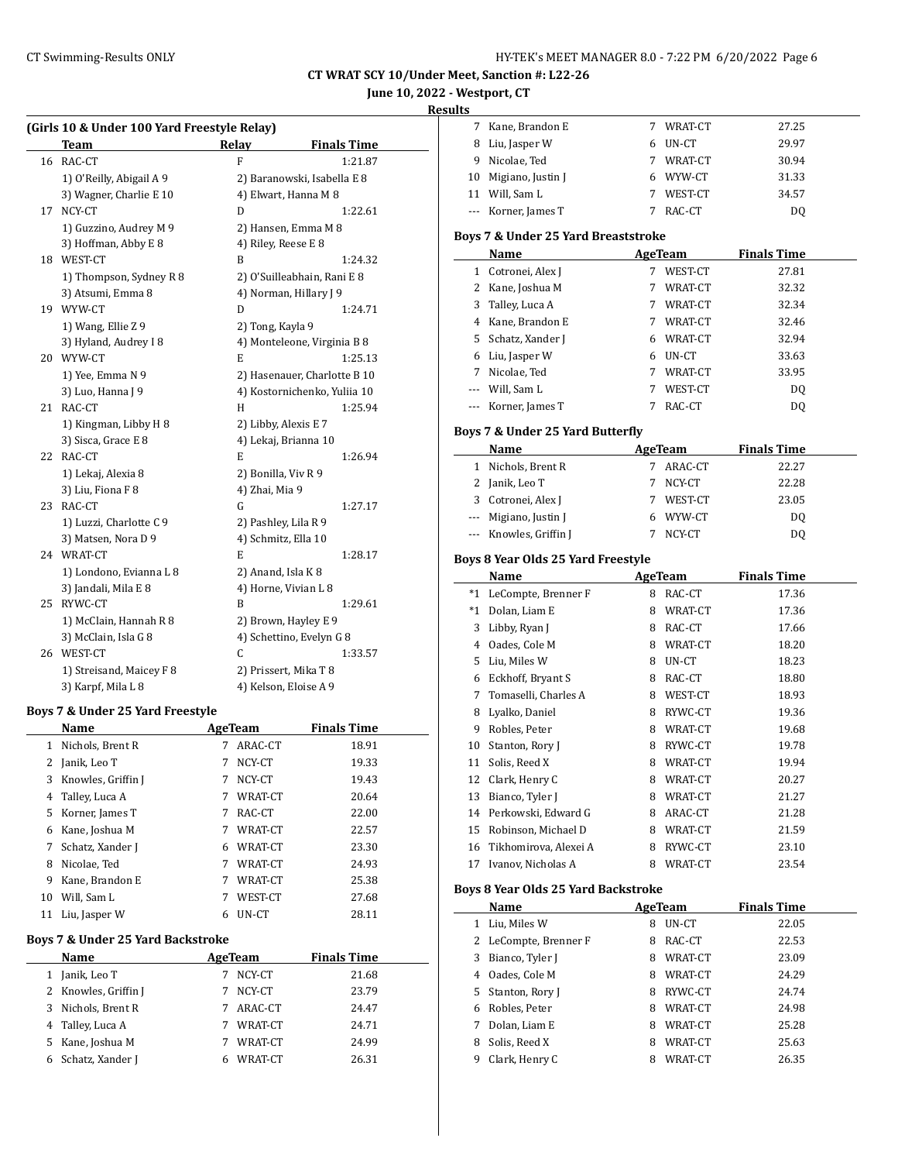# **June 10, 2022 - Westport, CT**

### **Result**

| (Girls 10 & Under 100 Yard Freestyle Relay) |  |  |  |  |  |
|---------------------------------------------|--|--|--|--|--|
|---------------------------------------------|--|--|--|--|--|

|    | <b>Team</b>              | Relay                | <b>Finals Time</b>           |
|----|--------------------------|----------------------|------------------------------|
| 16 | RAC-CT                   | F                    | 1:21.87                      |
|    | 1) O'Reilly, Abigail A 9 |                      | 2) Baranowski, Isabella E 8  |
|    | 3) Wagner, Charlie E 10  |                      | 4) Elwart, Hanna M 8         |
| 17 | NCY-CT                   | D                    | 1:22.61                      |
|    | 1) Guzzino, Audrey M 9   |                      | 2) Hansen, Emma M 8          |
|    | 3) Hoffman, Abby E 8     | 4) Riley, Reese E 8  |                              |
| 18 | WEST-CT                  | B                    | 1:24.32                      |
|    | 1) Thompson, Sydney R 8  |                      | 2) O'Suilleabhain, Rani E 8  |
|    | 3) Atsumi, Emma 8        |                      | 4) Norman, Hillary J 9       |
| 19 | WYW-CT                   | D                    | 1:24.71                      |
|    | 1) Wang, Ellie Z 9       | 2) Tong, Kayla 9     |                              |
|    | 3) Hyland, Audrey I 8    |                      | 4) Monteleone, Virginia B 8  |
|    | 20 WYW-CT                | E                    | 1:25.13                      |
|    | 1) Yee, Emma N 9         |                      | 2) Hasenauer, Charlotte B 10 |
|    | 3) Luo, Hanna J 9        |                      | 4) Kostornichenko, Yuliia 10 |
| 21 | RAC-CT                   | H                    | 1:25.94                      |
|    | 1) Kingman, Libby H 8    | 2) Libby, Alexis E 7 |                              |
|    | 3) Sisca, Grace E 8      |                      | 4) Lekaj, Brianna 10         |
| 22 | RAC-CT                   | E                    | 1:26.94                      |
|    | 1) Lekaj, Alexia 8       | 2) Bonilla, Viv R 9  |                              |
|    | 3) Liu, Fiona F 8        | 4) Zhai, Mia 9       |                              |
| 23 | RAC-CT                   | G                    | 1:27.17                      |
|    | 1) Luzzi, Charlotte C 9  | 2) Pashley, Lila R 9 |                              |
|    | 3) Matsen, Nora D 9      | 4) Schmitz, Ella 10  |                              |
| 24 | WRAT-CT                  | E                    | 1:28.17                      |
|    | 1) Londono, Evianna L 8  | 2) Anand, Isla K 8   |                              |
|    | 3) Jandali, Mila E 8     |                      | 4) Horne, Vivian L 8         |
| 25 | RYWC-CT                  | B                    | 1:29.61                      |
|    | 1) McClain, Hannah R 8   |                      | 2) Brown, Hayley E 9         |
|    | 3) McClain, Isla G 8     |                      | 4) Schettino, Evelyn G 8     |
| 26 | WEST-CT                  | C                    | 1:33.57                      |
|    | 1) Streisand, Maicey F 8 |                      | 2) Prissert, Mika T 8        |
|    | 3) Karpf, Mila L 8       |                      | 4) Kelson, Eloise A 9        |

### **Boys 7 & Under 25 Yard Freestyle**

|    | Name               |   | AgeTeam | <b>Finals Time</b> |
|----|--------------------|---|---------|--------------------|
| 1  | Nichols, Brent R   | 7 | ARAC-CT | 18.91              |
| 2  | Janik, Leo T       | 7 | NCY-CT  | 19.33              |
| 3  | Knowles, Griffin J | 7 | NCY-CT  | 19.43              |
| 4  | Talley, Luca A     | 7 | WRAT-CT | 20.64              |
| 5  | Korner, James T    | 7 | RAC-CT  | 22.00              |
| 6  | Kane, Joshua M     | 7 | WRAT-CT | 22.57              |
| 7  | Schatz, Xander J   | 6 | WRAT-CT | 23.30              |
| 8  | Nicolae, Ted       | 7 | WRAT-CT | 24.93              |
| 9  | Kane, Brandon E    | 7 | WRAT-CT | 25.38              |
| 10 | Will, Sam L        |   | WEST-CT | 27.68              |
| 11 | Liu, Jasper W      | 6 | UN-CT   | 28.11              |
|    |                    |   |         |                    |

# **Boys 7 & Under 25 Yard Backstroke**

|   | Name                 | AgeTeam |         | <b>Finals Time</b> |
|---|----------------------|---------|---------|--------------------|
| 1 | Janik, Leo T         |         | NCY-CT  | 21.68              |
|   | 2 Knowles, Griffin J |         | NCY-CT  | 23.79              |
| 3 | Nichols, Brent R     |         | ARAC-CT | 24.47              |
|   | 4 Talley, Luca A     |         | WRAT-CT | 24.71              |
|   | 5 Kane, Joshua M     |         | WRAT-CT | 24.99              |
|   | 6 Schatz, Xander J   |         | WRAT-CT | 26.31              |

| uits |                                            |    |                |                    |  |
|------|--------------------------------------------|----|----------------|--------------------|--|
|      | 7 Kane, Brandon E                          |    | 7 WRAT-CT      | 27.25              |  |
|      | 8 Liu, Jasper W                            |    | 6 UN-CT        | 29.97              |  |
|      | 9 Nicolae, Ted                             |    | 7 WRAT-CT      | 30.94              |  |
|      | 10 Migiano, Justin J                       |    | 6 WYW-CT       | 31.33              |  |
|      | 11 Will, Sam L                             |    | 7 WEST-CT      | 34.57              |  |
|      | --- Korner, James T                        |    | 7 RAC-CT       | DQ                 |  |
|      |                                            |    |                |                    |  |
|      | Boys 7 & Under 25 Yard Breaststroke        |    |                |                    |  |
|      | Name                                       |    | AgeTeam        | <b>Finals Time</b> |  |
|      | 1 Cotronei, Alex J                         |    | 7 WEST-CT      | 27.81              |  |
|      | 2 Kane, Joshua M                           |    | 7 WRAT-CT      | 32.32              |  |
|      | 3 Talley, Luca A                           |    | 7 WRAT-CT      | 32.34              |  |
|      | 4 Kane, Brandon E                          |    | 7 WRAT-CT      | 32.46              |  |
|      | 5 Schatz, Xander J                         |    | 6 WRAT-CT      | 32.94              |  |
|      | 6 Liu, Jasper W                            |    | 6 UN-CT        | 33.63              |  |
|      | 7 Nicolae, Ted                             |    | 7 WRAT-CT      | 33.95              |  |
|      | --- Will, Sam L                            |    | 7 WEST-CT      | DQ                 |  |
|      | --- Korner, James T                        | 7  | RAC-CT         | DQ                 |  |
|      | Boys 7 & Under 25 Yard Butterfly           |    |                |                    |  |
|      | <b>Name</b>                                |    | <b>AgeTeam</b> | <b>Finals Time</b> |  |
|      | 1 Nichols, Brent R                         |    | 7 ARAC-CT      | 22.27              |  |
|      | 2 Janik, Leo T                             | 7  | NCY-CT         | 22.28              |  |
|      | 3 Cotronei, Alex J                         |    | 7 WEST-CT      | 23.05              |  |
|      | --- Migiano, Justin J                      |    | 6 WYW-CT       |                    |  |
|      |                                            | 7  |                | DQ                 |  |
|      | --- Knowles, Griffin J                     |    | NCY-CT         | DQ                 |  |
|      | Boys 8 Year Olds 25 Yard Freestyle         |    |                |                    |  |
|      | Name                                       |    | <b>AgeTeam</b> | <b>Finals Time</b> |  |
|      | *1 LeCompte, Brenner F                     |    | 8 RAC-CT       | 17.36              |  |
|      | *1 Dolan, Liam E                           |    | 8 WRAT-CT      | 17.36              |  |
|      | 3 Libby, Ryan J                            |    | 8 RAC-CT       | 17.66              |  |
|      | 4 Oades, Cole M                            |    | 8 WRAT-CT      | 18.20              |  |
|      | 5 Liu, Miles W                             |    | 8 UN-CT        | 18.23              |  |
|      | 6 Eckhoff, Bryant S                        |    | 8 RAC-CT       | 18.80              |  |
|      | 7 Tomaselli, Charles A                     |    | 8 WEST-CT      | 18.93              |  |
|      | 8 Lyalko, Daniel                           |    | 8 RYWC-CT      | 19.36              |  |
|      | 9 Robles, Peter                            | 8. | WRAT-CT        | 19.68              |  |
|      | 10 Stanton, Rory J                         | 8  | RYWC-CT        | 19.78              |  |
| 11   | Solis, Reed X                              | 8  | WRAT-CT        | 19.94              |  |
| 12   | Clark, Henry C                             |    | 8 WRAT-CT      | 20.27              |  |
| 13   | Bianco, Tyler J                            |    | 8 WRAT-CT      | 21.27              |  |
|      | 14 Perkowski, Edward G                     |    | 8 ARAC-CT      | 21.28              |  |
|      | 15 Robinson, Michael D                     |    | 8 WRAT-CT      | 21.59              |  |
|      | 16 Tikhomirova, Alexei A                   | 8  | RYWC-CT        | 23.10              |  |
| 17   | Ivanov, Nicholas A                         | 8. | WRAT-CT        | 23.54              |  |
|      |                                            |    |                |                    |  |
|      | <b>Boys 8 Year Olds 25 Yard Backstroke</b> |    |                |                    |  |
|      | Name                                       |    | AgeTeam        | <b>Finals Time</b> |  |
|      | 1 Liu, Miles W                             | 8  | 8 UN-CT        | 22.05<br>22.53     |  |
|      | 2 LeCompte, Brenner F<br>3 Bianco, Tyler J | 8  | RAC-CT         |                    |  |
|      |                                            |    | WRAT-CT        | 23.09              |  |
|      | 4 Oades, Cole M                            | 8  | WRAT-CT        | 24.29              |  |
|      | 5 Stanton, Rory J                          | 8. | RYWC-CT        | 24.74              |  |
|      | 6 Robles, Peter                            |    | 8 WRAT-CT      | 24.98              |  |
|      | 7 Dolan, Liam E                            |    | 8 WRAT-CT      | 25.28              |  |
| 8    | Solis, Reed X                              |    | 8 WRAT-CT      | 25.63              |  |
| 9    | Clark, Henry C                             | 8  | WRAT-CT        | 26.35              |  |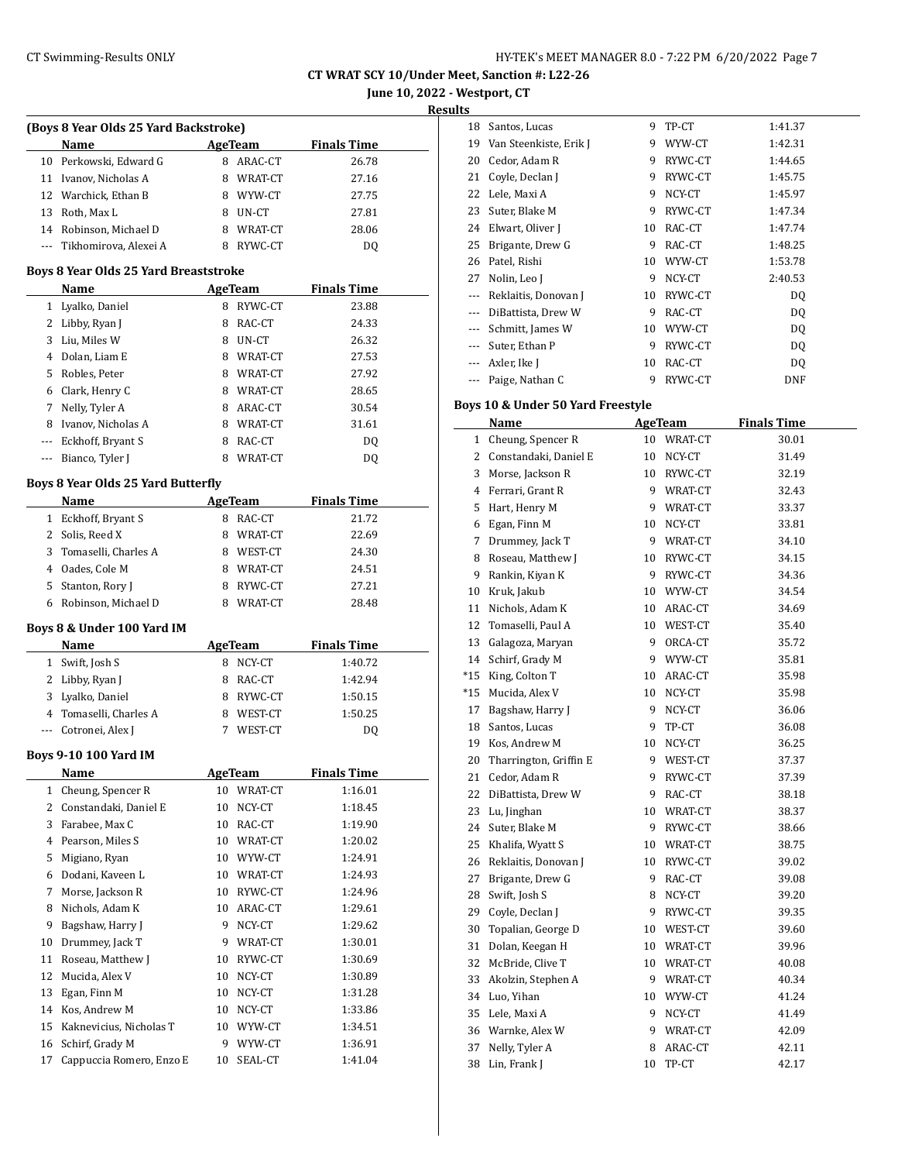**June 10, 2022 - Westport, CT**

**Results**

|              | (Boys 8 Year Olds 25 Yard Backstroke)     |    |                |                    |
|--------------|-------------------------------------------|----|----------------|--------------------|
|              | Name                                      |    | AgeTeam        | <b>Finals Time</b> |
|              | 10 Perkowski, Edward G                    |    | 8 ARAC-CT      | 26.78              |
|              | 11 Ivanov, Nicholas A                     |    | 8 WRAT-CT      | 27.16              |
|              | 12 Warchick, Ethan B                      |    | 8 WYW-CT       | 27.75              |
|              | 13 Roth, Max L                            |    | 8 UN-CT        | 27.81              |
|              | 14 Robinson, Michael D                    |    | 8 WRAT-CT      | 28.06              |
|              | --- Tikhomirova, Alexei A                 |    | 8 RYWC-CT      | DQ                 |
|              | Boys 8 Year Olds 25 Yard Breaststroke     |    |                |                    |
|              | Name                                      |    | AgeTeam        | <b>Finals Time</b> |
|              | 1 Lyalko, Daniel                          |    | 8 RYWC-CT      | 23.88              |
|              | 2 Libby, Ryan J                           |    | 8 RAC-CT       | 24.33              |
|              | 3 Liu, Miles W                            |    | 8 UN-CT        | 26.32              |
|              | 4 Dolan, Liam E                           |    | 8 WRAT-CT      | 27.53              |
|              | 5 Robles, Peter                           |    | 8 WRAT-CT      | 27.92              |
|              | 6 Clark, Henry C                          |    | 8 WRAT-CT      | 28.65              |
|              | 7 Nelly, Tyler A                          |    | 8 ARAC-CT      | 30.54              |
|              | 8 Ivanov, Nicholas A                      |    | 8 WRAT-CT      | 31.61              |
|              | --- Eckhoff, Bryant S                     |    | 8 RAC-CT       | DQ                 |
|              | --- Bianco, Tyler J                       |    | 8 WRAT-CT      | DQ                 |
|              | <b>Boys 8 Year Olds 25 Yard Butterfly</b> |    |                |                    |
|              | Name                                      |    |                |                    |
|              |                                           |    | <b>AgeTeam</b> | <b>Finals Time</b> |
|              | 1 Eckhoff, Bryant S<br>2 Solis, Reed X    |    | 8 RAC-CT       | 21.72<br>22.69     |
|              |                                           |    | 8 WRAT-CT      |                    |
|              | 3 Tomaselli, Charles A                    |    | 8 WEST-CT      | 24.30              |
|              | 4 Oades, Cole M                           |    | 8 WRAT-CT      | 24.51              |
|              | 5 Stanton, Rory J                         |    | 8 RYWC-CT      | 27.21              |
| 6            | Robinson, Michael D                       |    | 8 WRAT-CT      | 28.48              |
|              | Boys 8 & Under 100 Yard IM                |    |                |                    |
|              | Name                                      |    | <b>AgeTeam</b> | <b>Finals Time</b> |
|              | 1 Swift, Josh S                           |    | 8 NCY-CT       | 1:40.72            |
|              | 2 Libby, Ryan J                           |    | 8 RAC-CT       | 1:42.94            |
|              | 3 Lyalko, Daniel                          |    | 8 RYWC-CT      | 1:50.15            |
|              | 4 Tomaselli, Charles A                    |    | 8 WEST-CT      | 1:50.25            |
| $---$        | Cotronei, Alex J                          |    | 7 WEST-CT      | DQ                 |
|              | <b>Boys 9-10 100 Yard IM</b>              |    |                |                    |
|              | <b>Name</b>                               |    | <b>AgeTeam</b> | <b>Finals Time</b> |
| $\mathbf{1}$ | Cheung, Spencer R                         |    | 10 WRAT-CT     | 1:16.01            |
| 2            | Constandaki, Daniel E                     | 10 | NCY-CT         | 1:18.45            |
| 3            | Farabee, Max C                            | 10 | RAC-CT         | 1:19.90            |
| 4            | Pearson, Miles S                          | 10 | WRAT-CT        | 1:20.02            |
| 5            | Migiano, Ryan                             | 10 | WYW-CT         | 1:24.91            |
| 6            | Dodani, Kaveen L                          | 10 | WRAT-CT        | 1:24.93            |
| 7            | Morse, Jackson R                          | 10 | RYWC-CT        | 1:24.96            |
| 8            | Nichols, Adam K                           | 10 | ARAC-CT        | 1:29.61            |
| 9            | Bagshaw, Harry J                          | 9  | NCY-CT         | 1:29.62            |
| 10           | Drummey, Jack T                           | 9  | WRAT-CT        | 1:30.01            |
| 11           | Roseau, Matthew J                         | 10 | RYWC-CT        | 1:30.69            |
| 12           | Mucida, Alex V                            | 10 | NCY-CT         | 1:30.89            |
| 13           | Egan, Finn M                              | 10 | NCY-CT         | 1:31.28            |
| 14           | Kos, Andrew M                             | 10 | NCY-CT         | 1:33.86            |
| 15           | Kaknevicius, Nicholas T                   | 10 | WYW-CT         | 1:34.51            |
| 16           | Schirf, Grady M                           | 9  | WYW-CT         | 1:36.91            |
| 17           | Cappuccia Romero, Enzo E                  | 10 | SEAL-CT        | 1:41.04            |
|              |                                           |    |                |                    |

| s        |                        |    |         |            |
|----------|------------------------|----|---------|------------|
| 18       | Santos, Lucas          | 9  | TP-CT   | 1:41.37    |
| 19       | Van Steenkiste, Erik J | 9  | WYW-CT  | 1:42.31    |
| 20       | Cedor, Adam R          | 9  | RYWC-CT | 1:44.65    |
| 21       | Coyle, Declan J        | 9  | RYWC-CT | 1:45.75    |
| 22       | Lele, Maxi A           | 9  | NCY-CT  | 1:45.97    |
| 23       | Suter, Blake M         | 9  | RYWC-CT | 1:47.34    |
| 24       | Elwart, Oliver J       | 10 | RAC-CT  | 1:47.74    |
| 25       | Brigante, Drew G       | 9  | RAC-CT  | 1:48.25    |
| 26       | Patel, Rishi           | 10 | WYW-CT  | 1:53.78    |
| 27       | Nolin, Leo J           | 9  | NCY-CT  | 2:40.53    |
|          | Reklaitis, Donovan J   | 10 | RYWC-CT | DQ         |
|          | DiBattista, Drew W     | 9  | RAC-CT  | DO.        |
| $\cdots$ | Schmitt, James W       | 10 | WYW-CT  | DQ         |
|          | Suter, Ethan P         | 9  | RYWC-CT | DQ         |
|          | Axler, Ike J           | 10 | RAC-CT  | DO.        |
|          | Paige, Nathan C        | 9  | RYWC-CT | <b>DNF</b> |

## **Boys 10 & Under 50 Yard Freestyle**

|       | Name                   |    | <b>AgeTeam</b> | <b>Finals Time</b> |
|-------|------------------------|----|----------------|--------------------|
| 1     | Cheung, Spencer R      |    | 10 WRAT-CT     | 30.01              |
| 2     | Constandaki, Daniel E  |    | 10 NCY-CT      | 31.49              |
|       | 3 Morse, Jackson R     |    | 10 RYWC-CT     | 32.19              |
|       | 4 Ferrari, Grant R     |    | 9 WRAT-CT      | 32.43              |
|       | 5 Hart, Henry M        |    | 9 WRAT-CT      | 33.37              |
| 6     | Egan, Finn M           |    | 10 NCY-CT      | 33.81              |
| 7     | Drummey, Jack T        |    | 9 WRAT-CT      | 34.10              |
|       | 8 Roseau, Matthew J    |    | 10 RYWC-CT     | 34.15              |
| 9     | Rankin, Kiyan K        |    | 9 RYWC-CT      | 34.36              |
|       | 10 Kruk, Jakub         |    | 10 WYW-CT      | 34.54              |
| 11    | Nichols, Adam K        |    | 10 ARAC-CT     | 34.69              |
| 12    | Tomaselli, Paul A      |    | 10 WEST-CT     | 35.40              |
| 13    | Galagoza, Maryan       |    | 9 ORCA-CT      | 35.72              |
| 14    | Schirf, Grady M        |    | 9 WYW-CT       | 35.81              |
| *15   | King, Colton T         |    | 10 ARAC-CT     | 35.98              |
| $*15$ | Mucida, Alex V         | 10 | NCY-CT         | 35.98              |
| 17    | Bagshaw, Harry J       | 9  | NCY-CT         | 36.06              |
| 18    | Santos, Lucas          | 9  | TP-CT          | 36.08              |
|       | 19 Kos, Andrew M       | 10 | NCY-CT         | 36.25              |
| 20    | Tharrington, Griffin E | 9. | WEST-CT        | 37.37              |
| 21    | Cedor, Adam R          | 9  | RYWC-CT        | 37.39              |
| 22    | DiBattista, Drew W     |    | 9 RAC-CT       | 38.18              |
| 23    | Lu, Jinghan            |    | 10 WRAT-CT     | 38.37              |
| 24    | Suter, Blake M         |    | 9 RYWC-CT      | 38.66              |
| 25    | Khalifa, Wyatt S       |    | 10 WRAT-CT     | 38.75              |
| 26    | Reklaitis, Donovan J   |    | 10 RYWC-CT     | 39.02              |
| 27    | Brigante, Drew G       |    | 9 RAC-CT       | 39.08              |
| 28    | Swift, Josh S          | 8  | NCY-CT         | 39.20              |
|       | 29 Coyle, Declan J     | 9  | RYWC-CT        | 39.35              |
| 30    | Topalian, George D     |    | 10 WEST-CT     | 39.60              |
| 31    | Dolan, Keegan H        |    | 10 WRAT-CT     | 39.96              |
| 32    | McBride, Clive T       |    | 10 WRAT-CT     | 40.08              |
| 33    | Akolzin, Stephen A     |    | 9 WRAT-CT      | 40.34              |
| 34    | Luo, Yihan             |    | 10 WYW-CT      | 41.24              |
| 35    | Lele, Maxi A           |    | 9 NCY-CT       | 41.49              |
|       | 36 Warnke, Alex W      | 9. | WRAT-CT        | 42.09              |
| 37    | Nelly, Tyler A         | 8. | ARAC-CT        | 42.11              |
| 38    | Lin, Frank J           | 10 | TP-CT          | 42.17              |
|       |                        |    |                |                    |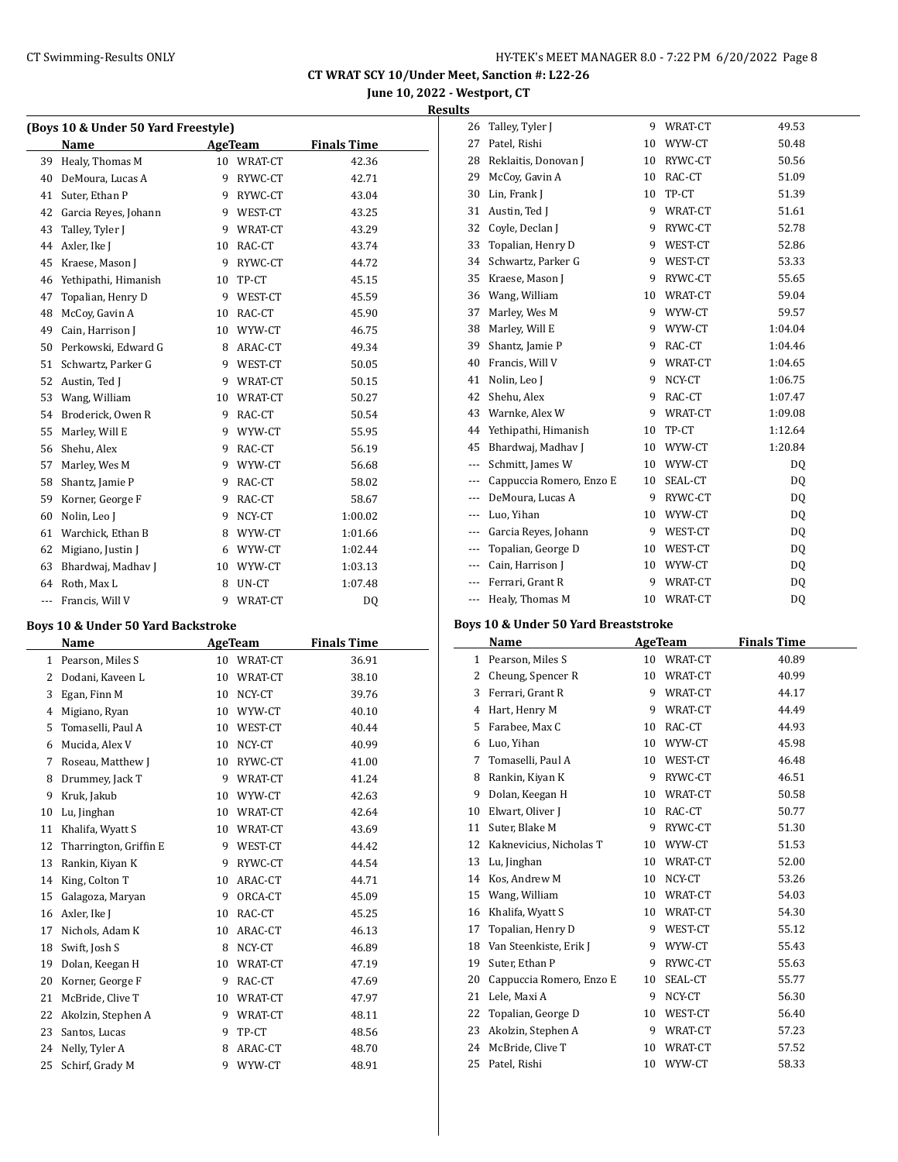**June 10, 2022 - Westport, CT**

### **Results**

| (Boys 10 & Under 50 Yard Freestyle) |                      |    |         |                    |  |  |
|-------------------------------------|----------------------|----|---------|--------------------|--|--|
|                                     | Name                 |    | AgeTeam | <b>Finals Time</b> |  |  |
| 39                                  | Healy, Thomas M      | 10 | WRAT-CT | 42.36              |  |  |
| 40                                  | DeMoura, Lucas A     | 9  | RYWC-CT | 42.71              |  |  |
| 41                                  | Suter, Ethan P       | 9  | RYWC-CT | 43.04              |  |  |
| 42                                  | Garcia Reyes, Johann | 9  | WEST-CT | 43.25              |  |  |
| 43                                  | Talley, Tyler J      | 9  | WRAT-CT | 43.29              |  |  |
| 44                                  | Axler, Ike J         | 10 | RAC-CT  | 43.74              |  |  |
| 45                                  | Kraese, Mason J      | 9  | RYWC-CT | 44.72              |  |  |
| 46                                  | Yethipathi, Himanish | 10 | TP-CT   | 45.15              |  |  |
| 47                                  | Topalian, Henry D    | 9  | WEST-CT | 45.59              |  |  |
| 48                                  | McCoy, Gavin A       | 10 | RAC-CT  | 45.90              |  |  |
| 49                                  | Cain, Harrison J     | 10 | WYW-CT  | 46.75              |  |  |
| 50                                  | Perkowski, Edward G  | 8  | ARAC-CT | 49.34              |  |  |
| 51                                  | Schwartz, Parker G   | 9  | WEST-CT | 50.05              |  |  |
| 52                                  | Austin, Ted J        | 9  | WRAT-CT | 50.15              |  |  |
| 53                                  | Wang, William        | 10 | WRAT-CT | 50.27              |  |  |
| 54                                  | Broderick, Owen R    | 9  | RAC-CT  | 50.54              |  |  |
| 55                                  | Marley, Will E       | 9  | WYW-CT  | 55.95              |  |  |
| 56                                  | Shehu, Alex          | 9  | RAC-CT  | 56.19              |  |  |
| 57                                  | Marley, Wes M        | 9  | WYW-CT  | 56.68              |  |  |
| 58                                  | Shantz, Jamie P      | 9  | RAC-CT  | 58.02              |  |  |
| 59                                  | Korner, George F     | 9  | RAC-CT  | 58.67              |  |  |
| 60                                  | Nolin, Leo J         | 9  | NCY-CT  | 1:00.02            |  |  |
| 61                                  | Warchick, Ethan B    | 8  | WYW-CT  | 1:01.66            |  |  |
| 62                                  | Migiano, Justin J    | 6  | WYW-CT  | 1:02.44            |  |  |
| 63                                  | Bhardwaj, Madhav J   | 10 | WYW-CT  | 1:03.13            |  |  |
| 64                                  | Roth, Max L          | 8  | UN-CT   | 1:07.48            |  |  |
| ---                                 | Francis, Will V      | 9  | WRAT-CT | D <sub>0</sub>     |  |  |

#### **Boys 10 & Under 50 Yard Backstroke**

| Name |                        |    | <b>AgeTeam</b> | <b>Finals Time</b> |
|------|------------------------|----|----------------|--------------------|
| 1    | Pearson, Miles S       | 10 | WRAT-CT        | 36.91              |
| 2    | Dodani, Kaveen L       | 10 | WRAT-CT        | 38.10              |
| 3    | Egan, Finn M           | 10 | NCY-CT         | 39.76              |
| 4    | Migiano, Ryan          | 10 | WYW-CT         | 40.10              |
| 5    | Tomaselli, Paul A      | 10 | WEST-CT        | 40.44              |
| 6    | Mucida, Alex V         | 10 | NCY-CT         | 40.99              |
| 7    | Roseau, Matthew J      | 10 | RYWC-CT        | 41.00              |
| 8    | Drummey, Jack T        | 9  | WRAT-CT        | 41.24              |
| 9    | Kruk, Jakub            | 10 | WYW-CT         | 42.63              |
| 10   | Lu, Jinghan            | 10 | WRAT-CT        | 42.64              |
| 11   | Khalifa, Wyatt S       | 10 | WRAT-CT        | 43.69              |
| 12   | Tharrington, Griffin E | 9  | WEST-CT        | 44.42              |
| 13   | Rankin, Kiyan K        | 9  | RYWC-CT        | 44.54              |
| 14   | King, Colton T         | 10 | ARAC-CT        | 44.71              |
| 15   | Galagoza, Maryan       | 9  | ORCA-CT        | 45.09              |
| 16   | Axler, Ike J           | 10 | RAC-CT         | 45.25              |
| 17   | Nichols, Adam K        | 10 | ARAC-CT        | 46.13              |
| 18   | Swift, Josh S          | 8  | NCY-CT         | 46.89              |
| 19   | Dolan, Keegan H        | 10 | WRAT-CT        | 47.19              |
| 20   | Korner, George F       | 9  | RAC-CT         | 47.69              |
| 21   | McBride, Clive T       | 10 | WRAT-CT        | 47.97              |
| 22   | Akolzin, Stephen A     | 9  | WRAT-CT        | 48.11              |
| 23   | Santos, Lucas          | 9  | TP-CT          | 48.56              |
| 24   | Nelly, Tyler A         | 8  | ARAC-CT        | 48.70              |
| 25   | Schirf, Grady M        | 9  | WYW-CT         | 48.91              |

| 26                   | Talley, Tyler J          | 9  | WRAT-CT | 49.53   |
|----------------------|--------------------------|----|---------|---------|
| 27                   | Patel, Rishi             | 10 | WYW-CT  | 50.48   |
| 28                   | Reklaitis, Donovan J     | 10 | RYWC-CT | 50.56   |
| 29                   | McCoy, Gavin A           | 10 | RAC-CT  | 51.09   |
| 30                   | Lin, Frank J             | 10 | TP-CT   | 51.39   |
| 31                   | Austin, Ted J            | 9  | WRAT-CT | 51.61   |
| 32                   | Coyle, Declan J          | 9  | RYWC-CT | 52.78   |
| 33                   | Topalian, Henry D        | 9  | WEST-CT | 52.86   |
| 34                   | Schwartz, Parker G       | 9  | WEST-CT | 53.33   |
| 35                   | Kraese, Mason J          | 9  | RYWC-CT | 55.65   |
| 36                   | Wang, William            | 10 | WRAT-CT | 59.04   |
| 37                   | Marley, Wes M            | 9  | WYW-CT  | 59.57   |
| 38                   | Marley, Will E           | 9  | WYW-CT  | 1:04.04 |
| 39                   | Shantz, Jamie P          | 9  | RAC-CT  | 1:04.46 |
| 40                   | Francis, Will V          | 9  | WRAT-CT | 1:04.65 |
| 41                   | Nolin, Leo J             | 9  | NCY-CT  | 1:06.75 |
| 42                   | Shehu, Alex              | 9  | RAC-CT  | 1:07.47 |
| 43                   | Warnke, Alex W           | 9  | WRAT-CT | 1:09.08 |
| 44                   | Yethipathi, Himanish     | 10 | TP-CT   | 1:12.64 |
| 45                   | Bhardwaj, Madhav J       | 10 | WYW-CT  | 1:20.84 |
| ---                  | Schmitt, James W         | 10 | WYW-CT  | DQ      |
| ---                  | Cappuccia Romero, Enzo E | 10 | SEAL-CT | DQ      |
| ---                  | DeMoura, Lucas A         | 9  | RYWC-CT | DQ      |
| $\scriptstyle\cdots$ | Luo, Yihan               | 10 | WYW-CT  | DQ      |
| ---                  | Garcia Reyes, Johann     | 9  | WEST-CT | DQ      |
| $---$                | Topalian, George D       | 10 | WEST-CT | DQ      |
| $\qquad \qquad - -$  | Cain, Harrison J         | 10 | WYW-CT  | DQ      |
| ---                  | Ferrari, Grant R         | 9  | WRAT-CT | DQ      |
| ---                  | Healy, Thomas M          | 10 | WRAT-CT | DQ      |

### **Boys 10 & Under 50 Yard Breaststroke**

|    | Name                     | AgeTeam |         | <b>Finals Time</b> |
|----|--------------------------|---------|---------|--------------------|
| 1  | Pearson, Miles S         | 10      | WRAT-CT | 40.89              |
| 2  | Cheung, Spencer R        | 10      | WRAT-CT | 40.99              |
| 3  | Ferrari, Grant R         | 9       | WRAT-CT | 44.17              |
| 4  | Hart, Henry M            | 9       | WRAT-CT | 44.49              |
| 5  | Farabee, Max C           | 10      | RAC-CT  | 44.93              |
| 6  | Luo, Yihan               | 10      | WYW-CT  | 45.98              |
| 7  | Tomaselli, Paul A        | 10      | WEST-CT | 46.48              |
| 8  | Rankin, Kiyan K          | 9       | RYWC-CT | 46.51              |
| 9  | Dolan, Keegan H          | 10      | WRAT-CT | 50.58              |
| 10 | Elwart, Oliver J         | 10      | RAC-CT  | 50.77              |
| 11 | Suter, Blake M           | 9       | RYWC-CT | 51.30              |
| 12 | Kaknevicius, Nicholas T  | 10      | WYW-CT  | 51.53              |
| 13 | Lu, Jinghan              | 10      | WRAT-CT | 52.00              |
| 14 | Kos, Andrew M            | 10      | NCY-CT  | 53.26              |
| 15 | Wang, William            | 10      | WRAT-CT | 54.03              |
| 16 | Khalifa, Wyatt S         | 10      | WRAT-CT | 54.30              |
| 17 | Topalian, Henry D        | 9       | WEST-CT | 55.12              |
| 18 | Van Steenkiste, Erik J   | 9       | WYW-CT  | 55.43              |
| 19 | Suter, Ethan P           | 9       | RYWC-CT | 55.63              |
| 20 | Cappuccia Romero, Enzo E | 10      | SEAL-CT | 55.77              |
| 21 | Lele, Maxi A             | 9       | NCY-CT  | 56.30              |
| 22 | Topalian, George D       | 10      | WEST-CT | 56.40              |
| 23 | Akolzin, Stephen A       | 9       | WRAT-CT | 57.23              |
| 24 | McBride, Clive T         | 10      | WRAT-CT | 57.52              |
| 25 | Patel, Rishi             | 10      | WYW-CT  | 58.33              |